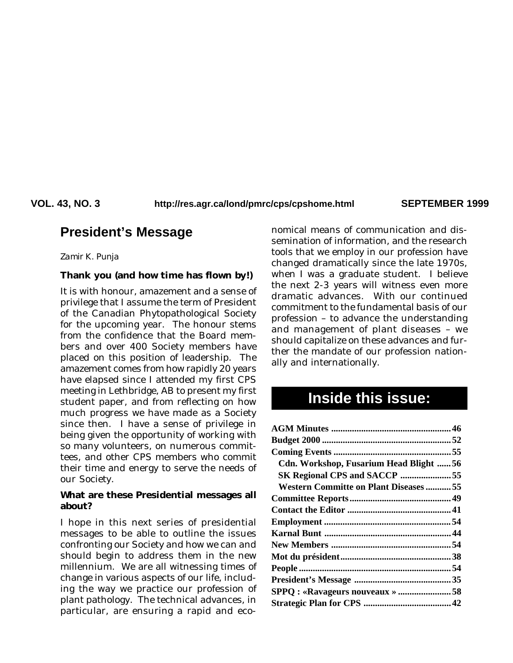VOL. 43, NO. 3 http://res.agr.ca/lond/pmrc/cps/cpshome.html SEPTEMBER 1999

# **President's Message**

*Zamir K. Punja*

# **Thank you (and how time has flown by!)**

It is with honour, amazement and a sense of privilege that I assume the term of President of the Canadian Phytopathological Society for the upcoming year. The honour stems from the confidence that the Board members and over 400 Society members have placed on this position of leadership. The amazement comes from how rapidly 20 years have elapsed since I attended my first CPS meeting in Lethbridge, AB to present my first student paper, and from reflecting on how much progress we have made as a Society since then. I have a sense of privilege in being given the opportunity of working with so many volunteers, on numerous committees, and other CPS members who commit their time and energy to serve the needs of our Society.

### **What are these Presidential messages all about?**

I hope in this next series of presidential messages to be able to outline the issues confronting our Society and how we can and should begin to address them in the new millennium. We are all witnessing times of change in various aspects of our life, including the way we practice our profession of plant pathology. The technical advances, in particular, are ensuring a rapid and economical means of communication and dissemination of information, and the research tools that we employ in our profession have changed dramatically since the late 1970s, when I was a graduate student. I believe the next 2-3 years will witness even more dramatic advances. With our continued commitment to the fundamental basis of our profession – to advance the understanding and management of plant diseases – we should capitalize on these advances and further the mandate of our profession nationally and internationally.

# **Inside this issue:**

| Cdn. Workshop, Fusarium Head Blight 56        |  |
|-----------------------------------------------|--|
| SK Regional CPS and SACCP 55                  |  |
| <b>Western Committe on Plant Diseases  55</b> |  |
|                                               |  |
|                                               |  |
|                                               |  |
|                                               |  |
|                                               |  |
|                                               |  |
|                                               |  |
|                                               |  |
|                                               |  |
|                                               |  |
|                                               |  |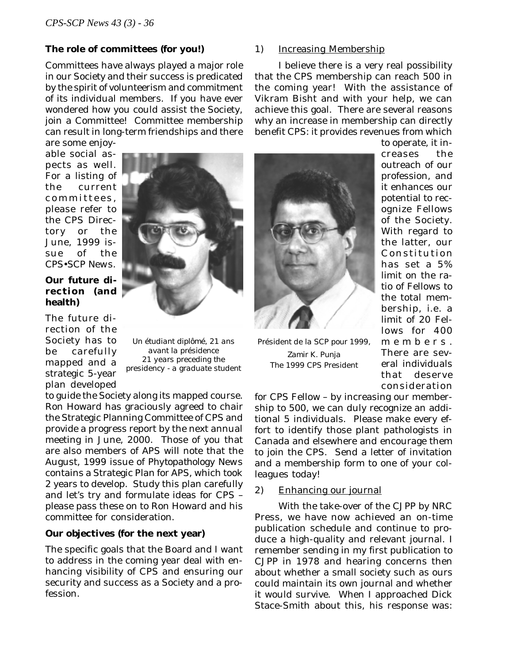### **The role of committees (for you!)**

Committees have always played a major role in our Society and their success is predicated by the spirit of volunteerism and commitment of its individual members. If you have ever wondered how you could assist the Society, join a Committee! Committee membership can result in long-term friendships and there are some enjoy-

able social aspects as well. For a listing of the current committees, please refer to the CPS Directory or the June, 1999 issue of the *CPS•SCP News*.

# **Our future direction (and health)**

The future direction of the Society has to be carefully mapped and a strategic 5-year plan developed

*Un étudiant diplômé, 21 ans avant la présidence 21 years preceding the presidency - a graduate student*

to guide the Society along its mapped course. Ron Howard has graciously agreed to chair the Strategic Planning Committee of CPS and provide a progress report by the next annual meeting in June, 2000. Those of you that are also members of APS will note that the August, 1999 issue of *Phytopathology News* contains a Strategic Plan for APS, which took 2 years to develop. Study this plan carefully and let's try and formulate ideas for CPS – please pass these on to Ron Howard and his committee for consideration.

# **Our objectives (for the next year)**

The specific goals that the Board and I want to address in the coming year deal with enhancing visibility of CPS and ensuring our security and success as a Society and a profession.

### 1) Increasing Membership

I believe there is a very real possibility that the CPS membership can reach 500 in the coming year! With the assistance of Vikram Bisht and with your help, we can achieve this goal. There are several reasons why an increase in membership can directly benefit CPS: it provides revenues from which



*Président de la SCP pour 1999, Zamir K. Punja The 1999 CPS President*

to operate, it increases the outreach of our profession, and it enhances our potential to recognize Fellows of the Society. With regard to the latter, our Constitution has set a 5% limit on the ratio of Fellows to the total membership, *i.e.* a limit of 20 Fellows for 400 members. There are several individuals that deserve consideration

for CPS Fellow – by increasing our membership to 500, we can duly recognize an additional 5 individuals. Please make every effort to identify those plant pathologists in Canada and elsewhere and encourage them to join the CPS. Send a letter of invitation and a membership form to one of your colleagues today!

#### 2) Enhancing our journal

With the take-over of the *CJPP* by NRC Press, we have now achieved an on-time publication schedule and continue to produce a high-quality and relevant journal. I remember sending in my first publication to *CJPP* in 1978 and hearing concerns then about whether a small society such as ours could maintain its own journal and whether it would survive. When I approached Dick Stace-Smith about this, his response was: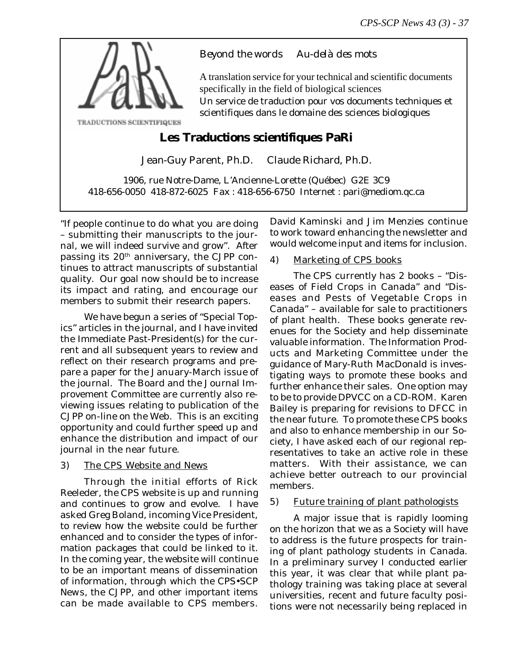

# *Beyond the words Au-delà des mots*

A translation service for your technical and scientific documents specifically in the field of biological sciences Un service de traduction pour vos documents techniques et scientifiques dans le domaine des sciences biologiques

# **Les Traductions scientifiques PaRi**

Jean-Guy Parent, Ph.D. Claude Richard, Ph.D.

1906, rue Notre-Dame, L'Ancienne-Lorette (Québec) G2E 3C9 418-656-0050 418-872-6025 Fax : 418-656-6750 Internet : pari@mediom.qc.ca

"If people continue to do what you are doing – submitting their manuscripts to the journal, we will indeed survive and grow". After passing its 20th anniversary, the *CJPP* continues to attract manuscripts of substantial quality. Our goal now should be to increase its impact and rating, and encourage our members to submit their research papers.

We have begun a series of "Special Topics" articles in the journal, and I have invited the Immediate Past-President(s) for the current and all subsequent years to review and reflect on their research programs and prepare a paper for the January-March issue of the journal. The Board and the Journal Improvement Committee are currently also reviewing issues relating to publication of the *CJPP* on-line on the Web. This is an exciting opportunity and could further speed up and enhance the distribution and impact of our journal in the near future.

# 3) The CPS Website and News

Through the initial efforts of Rick Reeleder, the CPS website is up and running and continues to grow and evolve. I have asked Greg Boland, incoming Vice President, to review how the website could be further enhanced and to consider the types of information packages that could be linked to it. In the coming year, the website will continue to be an important means of dissemination of information, through which the *CPS•SCP News,* the *CJPP*, and other important items can be made available to CPS members.

David Kaminski and Jim Menzies continue to work toward enhancing the newsletter and would welcome input and items for inclusion.

# 4) Marketing of CPS books

The CPS currently has 2 books – "Diseases of Field Crops in Canada" and "Diseases and Pests of Vegetable Crops in Canada" – available for sale to practitioners of plant health. These books generate revenues for the Society and help disseminate valuable information. The Information Products and Marketing Committee under the guidance of Mary-Ruth MacDonald is investigating ways to promote these books and further enhance their sales. One option may to be to provide DPVCC on a CD-ROM. Karen Bailey is preparing for revisions to DFCC in the near future. To promote these CPS books and also to enhance membership in our Society, I have asked each of our regional representatives to take an active role in these matters. With their assistance, we can achieve better outreach to our provincial members.

# 5) Future training of plant pathologists

A major issue that is rapidly looming on the horizon that we as a Society will have to address is the future prospects for training of plant pathology students in Canada. In a preliminary survey I conducted earlier this year, it was clear that while plant pathology training was taking place at several universities, recent and future faculty positions were not necessarily being replaced in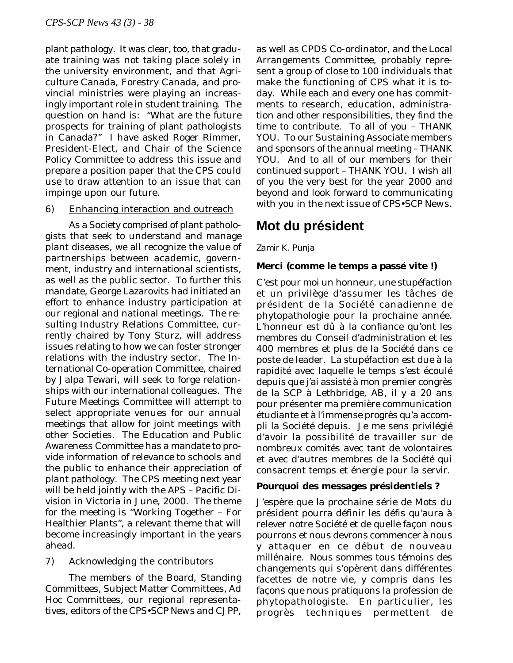plant pathology. It was clear, too, that graduate training was not taking place solely in the university environment, and that Agriculture Canada, Forestry Canada, and provincial ministries were playing an increasingly important role in student training. The question on hand is: "What are the future prospects for training of plant pathologists in Canada?" I have asked Roger Rimmer, President-Elect, and Chair of the Science Policy Committee to address this issue and prepare a position paper that the CPS could use to draw attention to an issue that can impinge upon our future.

# 6) Enhancing interaction and outreach

As a Society comprised of plant pathologists that seek to understand and manage plant diseases, we all recognize the value of partnerships between academic, government, industry and international scientists, as well as the public sector. To further this mandate, George Lazarovits had initiated an effort to enhance industry participation at our regional and national meetings. The resulting Industry Relations Committee, currently chaired by Tony Sturz, will address issues relating to how we can foster stronger relations with the industry sector. The International Co-operation Committee, chaired by Jalpa Tewari, will seek to forge relationships with our international colleagues. The Future Meetings Committee will attempt to select appropriate venues for our annual meetings that allow for joint meetings with other Societies. The Education and Public Awareness Committee has a mandate to provide information of relevance to schools and the public to enhance their appreciation of plant pathology. The CPS meeting next year will be held jointly with the APS – Pacific Division in Victoria in June, 2000. The theme for the meeting is "Working Together – For Healthier Plants", a relevant theme that will become increasingly important in the years ahead.

# 7) Acknowledging the contributors

The members of the Board, Standing Committees, Subject Matter Committees, *Ad Hoc* Committees, our regional representatives, editors of the *CPS•SCP News* and *CJPP*,

as well as CPDS Co-ordinator, and the Local Arrangements Committee, probably represent a group of close to 100 individuals that make the functioning of CPS what it is today. While each and every one has commitments to research, education, administration and other responsibilities, they find the time to contribute. To all of you – THANK YOU. To our Sustaining Associate members and sponsors of the annual meeting – THANK YOU. And to all of our members for their continued support – THANK YOU. I wish all of you the very best for the year 2000 and beyond and look forward to communicating with you in the next issue of *CPS•SCP News*.

# **Mot du président**

# *Zamir K. Punja*

# **Merci (comme le temps a passé vite !)**

C'est pour moi un honneur, une stupéfaction et un privilège d'assumer les tâches de président de la Société canadienne de phytopathologie pour la prochaine année. L'honneur est dû à la confiance qu'ont les membres du Conseil d'administration et les 400 membres et plus de la Société dans ce poste de leader. La stupéfaction est due à la rapidité avec laquelle le temps s'est écoulé depuis que j'ai assisté à mon premier congrès de la SCP à Lethbridge, AB, il y a 20 ans pour présenter ma première communication étudiante et à l'immense progrès qu'a accompli la Société depuis. Je me sens privilégié d'avoir la possibilité de travailler sur de nombreux comités avec tant de volontaires et avec d'autres membres de la Société qui consacrent temps et énergie pour la servir.

# **Pourquoi des messages présidentiels ?**

J'espère que la prochaine série de Mots du président pourra définir les défis qu'aura à relever notre Société et de quelle façon nous pourrons et nous devrons commencer à nous y attaquer en ce début de nouveau millénaire. Nous sommes tous témoins des changements qui s'opèrent dans différentes facettes de notre vie, y compris dans les façons que nous pratiquons la profession de phytopathologiste. En particulier, les progrès techniques permettent de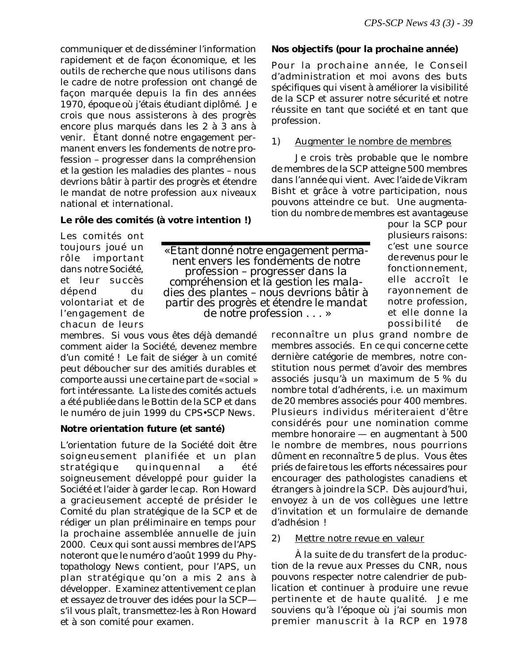communiquer et de disséminer l'information rapidement et de façon économique, et les outils de recherche que nous utilisons dans le cadre de notre profession ont changé de façon marquée depuis la fin des années 1970, époque où j'étais étudiant diplômé. Je crois que nous assisterons à des progrès encore plus marqués dans les 2 à 3 ans à venir. Étant donné notre engagement permanent envers les fondements de notre profession – progresser dans la compréhension et la gestion les maladies des plantes – nous devrions bâtir à partir des progrès et étendre le mandat de notre profession aux niveaux national et international.

# **Le rôle des comités (à votre intention !)**

Les comités ont toujours joué un rôle important dans notre Société, et leur succès dépend du volontariat et de l'engagement de chacun de leurs

membres. Si vous vous êtes déjà demandé comment aider la Société, devenez membre d'un comité ! Le fait de siéger à un comité peut déboucher sur des amitiés durables et comporte aussi une certaine part de « social » fort intéressante. La liste des comités actuels a été publiée dans le Bottin de la SCP et dans le numéro de juin 1999 du *CPS•SCP News*.

# **Notre orientation future (et santé)**

L'orientation future de la Société doit être soigneusement planifiée et un plan stratégique quinquennal a été soigneusement développé pour guider la Société et l'aider à garder le cap. Ron Howard a gracieusement accepté de présider le Comité du plan stratégique de la SCP et de rédiger un plan préliminaire en temps pour la prochaine assemblée annuelle de juin 2000. Ceux qui sont aussi membres de l'APS noteront que le numéro d'août 1999 du *Phytopathology News* contient, pour l'APS, un plan stratégique qu'on a mis 2 ans à développer. Examinez attentivement ce plan et essayez de trouver des idées pour la SCP s'il vous plaît, transmettez-les à Ron Howard et à son comité pour examen.

# **Nos objectifs (pour la prochaine année)**

Pour la prochaine année, le Conseil d'administration et moi avons des buts spécifiques qui visent à améliorer la visibilité de la SCP et assurer notre sécurité et notre réussite en tant que société et en tant que profession.

# 1) Augmenter le nombre de membres

Je crois très probable que le nombre de membres de la SCP atteigne 500 membres dans l'année qui vient. Avec l'aide de Vikram Bisht et grâce à votre participation, nous pouvons atteindre ce but. Une augmentation du nombre de membres est avantageuse

*« Étant donné notre engagement permanent envers les fondements de notre profession – progresser dans la compréhension et la gestion les maladies des plantes – nous devrions bâtir à partir des progrès et étendre le mandat de notre profession . . . »*

pour la SCP pour plusieurs raisons: c'est une source de revenus pour le fonctionnement, elle accroît le rayonnement de notre profession, et elle donne la possibilité de

reconnaître un plus grand nombre de membres associés. En ce qui concerne cette dernière catégorie de membres, notre constitution nous permet d'avoir des membres associés jusqu'à un maximum de 5 % du nombre total d'adhérents, *i.e.* un maximum de 20 membres associés pour 400 membres. Plusieurs individus mériteraient d'être considérés pour une nomination comme membre honoraire — en augmentant à 500 le nombre de membres, nous pourrions dûment en reconnaître 5 de plus. Vous êtes priés de faire tous les efforts nécessaires pour encourager des pathologistes canadiens et étrangers à joindre la SCP. Dès aujourd'hui, envoyez à un de vos collègues une lettre d'invitation et un formulaire de demande d'adhésion !

# 2) Mettre notre revue en valeur

À la suite de du transfert de la production de la revue aux Presses du CNR, nous pouvons respecter notre calendrier de publication et continuer à produire une revue pertinente et de haute qualité. Je me souviens qu'à l'époque où j'ai soumis mon premier manuscrit à la *RCP* en 1978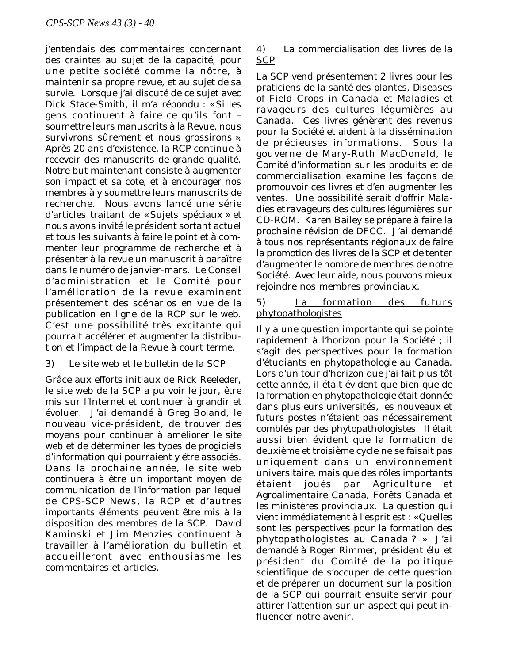j'entendais des commentaires concernant des craintes au sujet de la capacité, pour une petite société comme la nôtre, à maintenir sa propre revue, et au sujet de sa survie. Lorsque j'ai discuté de ce sujet avec Dick Stace-Smith, il m'a répondu : « Si les gens continuent à faire ce qu'ils font – soumettre leurs manuscrits à la Revue, nous survivrons sûrement et nous grossirons ». Après 20 ans d'existence, la *RCP* continue à recevoir des manuscrits de grande qualité. Notre but maintenant consiste à augmenter son impact et sa cote, et à encourager nos membres à y soumettre leurs manuscrits de recherche. Nous avons lancé une série d'articles traitant de « Sujets spéciaux » et nous avons invité le président sortant actuel et tous les suivants à faire le point et à commenter leur programme de recherche et à présenter à la revue un manuscrit à paraître dans le numéro de janvier-mars. Le Conseil d'administration et le Comité pour l'amélioration de la revue examinent présentement des scénarios en vue de la publication en ligne de la *RCP* sur le web. C'est une possibilité très excitante qui pourrait accélérer et augmenter la distribution et l'impact de la Revue à court terme.

# 3) Le site web et le bulletin de la SCP

Grâce aux efforts initiaux de Rick Reeleder, le site web de la SCP a pu voir le jour, être mis sur l'Internet et continuer à grandir et évoluer. J'ai demandé à Greg Boland, le nouveau vice-président, de trouver des moyens pour continuer à améliorer le site web et de déterminer les types de progiciels d'information qui pourraient y être associés. Dans la prochaine année, le site web continuera à être un important moyen de communication de l'information par lequel de *CPS-SCP News*, la *RCP* et d'autres importants éléments peuvent être mis à la disposition des membres de la SCP. David Kaminski et Jim Menzies continuent à travailler à l'amélioration du bulletin et accueilleront avec enthousiasme les commentaires et articles.

# 4) La commercialisation des livres de la **SCP**

La SCP vend présentement 2 livres pour les praticiens de la santé des plantes, *Diseases of Field Crops in Canada* et *Maladies et ravageurs des cultures légumières au Canada*. Ces livres génèrent des revenus pour la Société et aident à la dissémination de précieuses informations. Sous la gouverne de Mary-Ruth MacDonald, le Comité d'information sur les produits et de commercialisation examine les façons de promouvoir ces livres et d'en augmenter les ventes. Une possibilité serait d'offrir *Maladies et ravageurs des cultures légumières* sur CD-ROM. Karen Bailey se prépare à faire la prochaine révision de DFCC. J'ai demandé à tous nos représentants régionaux de faire la promotion des livres de la SCP et de tenter d'augmenter le nombre de membres de notre Société. Avec leur aide, nous pouvons mieux rejoindre nos membres provinciaux.

# 5) La formation des futurs phytopathologistes

Il y a une question importante qui se pointe rapidement à l'horizon pour la Société ; il s'agit des perspectives pour la formation d'étudiants en phytopathologie au Canada. Lors d'un tour d'horizon que j'ai fait plus tôt cette année, il était évident que bien que de la formation en phytopathologie était donnée dans plusieurs universités, les nouveaux et futurs postes n'étaient pas nécessairement comblés par des phytopathologistes. Il était aussi bien évident que la formation de deuxième et troisième cycle ne se faisait pas uniquement dans un environnement universitaire, mais que des rôles importants étaient joués par Agriculture et Agroalimentaire Canada, Forêts Canada et les ministères provinciaux. La question qui vient immédiatement à l'esprit est : « Quelles sont les perspectives pour la formation des phytopathologistes au Canada ? » J'ai demandé à Roger Rimmer, président élu et président du Comité de la politique scientifique de s'occuper de cette question et de préparer un document sur la position de la SCP qui pourrait ensuite servir pour attirer l'attention sur un aspect qui peut influencer notre avenir.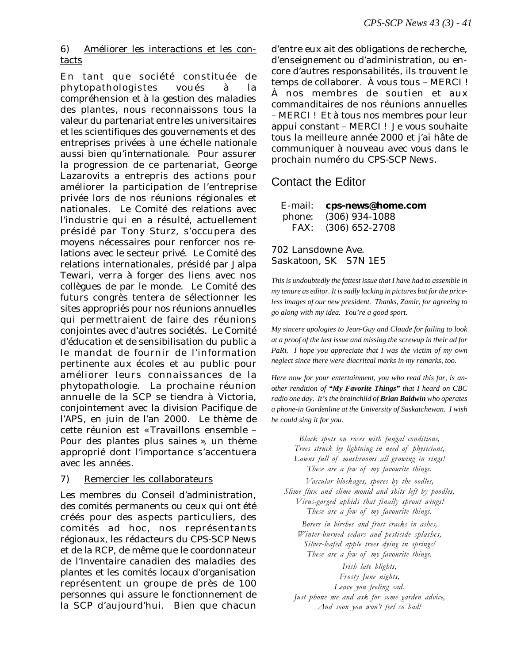6) Améliorer les interactions et les contacts

En tant que société constituée de phytopathologistes voués à la compréhension et à la gestion des maladies des plantes, nous reconnaissons tous la valeur du partenariat entre les universitaires et les scientifiques des gouvernements et des entreprises privées à une échelle nationale aussi bien qu'internationale. Pour assurer la progression de ce partenariat, George Lazarovits a entrepris des actions pour améliorer la participation de l'entreprise privée lors de nos réunions régionales et nationales. Le Comité des relations avec l'industrie qui en a résulté, actuellement présidé par Tony Sturz, s'occupera des moyens nécessaires pour renforcer nos relations avec le secteur privé. Le Comité des relations internationales, présidé par Jalpa Tewari, verra à forger des liens avec nos collègues de par le monde. Le Comité des futurs congrès tentera de sélectionner les sites appropriés pour nos réunions annuelles qui permettraient de faire des réunions conjointes avec d'autres sociétés. Le Comité d'éducation et de sensibilisation du public a le mandat de fournir de l'information pertinente aux écoles et au public pour améliorer leurs connaissances de la phytopathologie. La prochaine réunion annuelle de la SCP se tiendra à Victoria, conjointement avec la division Pacifique de l'APS, en juin de l'an 2000. Le thème de cette réunion est « Travaillons ensemble – Pour des plantes plus saines », un thème approprié dont l'importance s'accentuera avec les années.

# 7) Remercier les collaborateurs

Les membres du Conseil d'administration, des comités permanents ou ceux qui ont été créés pour des aspects particuliers, des comités ad hoc, nos représentants régionaux, les rédacteurs du *CPS-SCP News* et de la *RCP*, de même que le coordonnateur de l'*Inventaire canadien des maladies des plantes* et les comités locaux d'organisation représentent un groupe de près de 100 personnes qui assure le fonctionnement de la SCP d'aujourd'hui. Bien que chacun

d'entre eux ait des obligations de recherche, d'enseignement ou d'administration, ou encore d'autres responsabilités, ils trouvent le temps de collaborer. À vous tous – MERCI ! À nos membres de soutien et aux commanditaires de nos réunions annuelles – MERCI ! Et à tous nos membres pour leur appui constant – MERCI ! Je vous souhaite tous la meilleure année 2000 et j'ai hâte de communiquer à nouveau avec vous dans le prochain numéro du *CPS-SCP News*.

# Contact the Editor

| E-mail: | cps-news@home.com |
|---------|-------------------|
| phone:  | $(306)$ 934-1088  |
| FAX:    | $(306)$ 652-2708  |

# 702 Lansdowne Ave. Saskatoon, SK S7N 1E5

*This is undoubtedly the fattest issue that I have had to assemble in my tenure as editor. It is sadly lacking in pictures but for the priceless images of our new president. Thanks, Zamir, for agreeing to go along with my idea. You're a good sport.*

*My sincere apologies to Jean-Guy and Claude for failing to look at a proof of the last issue and missing the screwup in their ad for PaRi. I hope you appreciate that I was the victim of my own neglect since there were diacritcal marks in my remarks, too.*

*Here now for your entertainment, you who read this far, is another rendition of "My Favorite Things" that I heard on CBC radio one day. It's the brainchild of Brian Baldwin who operates a phone-in Gardenline at the University of Saskatchewan. I wish he could sing it for you.*

> Black spots on roses with fungal conditions, Trees struck by lightning in need of physicians, Lawns full of mushrooms all growing in rings! These are a few of my favourite things.

Vascular blockages, spores by the oodles, Slime flux and slime mould and shits left by poodles, Virus-gorged aphids that finally sprout wings!

These are a few of my favourite things.

Borers in birches and frost cracks in ashes, Winter-burned cedars and pesticide splashes, Silver-leafed apple trees dying in springs! These are a few of my favourite things.

Irish late blights, Frosty June nights, Leave you feeling sad. Just phone me and ask for some garden advice, And soon you won't feel so bad!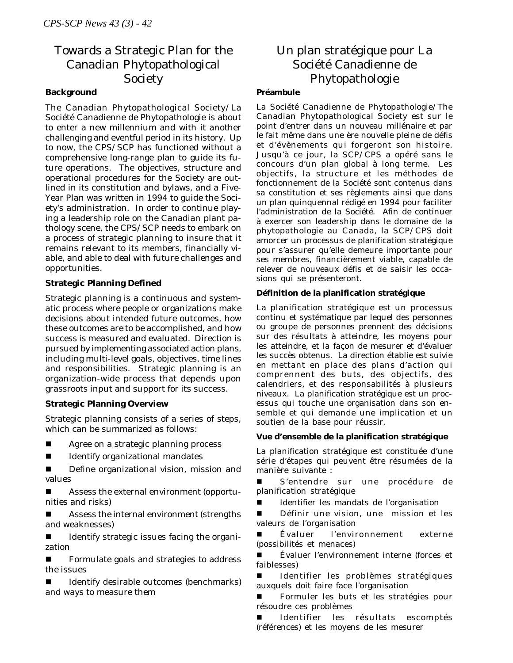# Towards a Strategic Plan for the Canadian Phytopathological Society

### **Background**

The Canadian Phytopathological Society/La Société Canadienne de Phytopathologie is about to enter a new millennium and with it another challenging and eventful period in its history. Up to now, the CPS/SCP has functioned without a comprehensive long-range plan to guide its future operations. The objectives, structure and operational procedures for the Society are outlined in its constitution and bylaws, and a Five-Year Plan was written in 1994 to guide the Society's administration. In order to continue playing a leadership role on the Canadian plant pathology scene, the CPS/SCP needs to embark on a process of strategic planning to insure that it remains relevant to its members, financially viable, and able to deal with future challenges and opportunities.

### **Strategic Planning Defined**

Strategic planning is a continuous and systematic process where people or organizations make decisions about intended future outcomes, how these outcomes are to be accomplished, and how success is measured and evaluated. Direction is pursued by implementing associated action plans, including multi-level goals, objectives, time lines and responsibilities. Strategic planning is an organization-wide process that depends upon grassroots input and support for its success.

### **Strategic Planning Overview**

Strategic planning consists of a series of steps, which can be summarized as follows:

- Agree on a strategic planning process
- Identify organizational mandates
- **n** Define organizational vision, mission and values
- Assess the external environment (opportunities and risks)

Assess the internal environment (strengths and weaknesses)

Identify strategic issues facing the organization

Formulate goals and strategies to address the issues

Identify desirable outcomes (benchmarks) and ways to measure them

# Un plan stratégique pour La Société Canadienne de Phytopathologie

#### **Préambule**

La Société Canadienne de Phytopathologie/The Canadian Phytopathological Society est sur le point d'entrer dans un nouveau millénaire et par le fait même dans une ère nouvelle pleine de défis et d'évènements qui forgeront son histoire. Jusqu'à ce jour, la SCP/CPS a opéré sans le concours d'un plan global à long terme. Les objectifs, la structure et les méthodes de fonctionnement de la Société sont contenus dans sa constitution et ses règlements ainsi que dans un plan quinquennal rédigé en 1994 pour faciliter l'administration de la Société. Afin de continuer à exercer son leadership dans le domaine de la phytopathologie au Canada, la SCP/CPS doit amorcer un processus de planification stratégique pour s'assurer qu'elle demeure importante pour ses membres, financièrement viable, capable de relever de nouveaux défis et de saisir les occasions qui se présenteront.

#### **Définition de la planification stratégique**

La planification stratégique est un processus continu et systématique par lequel des personnes ou groupe de personnes prennent des décisions sur des résultats à atteindre, les moyens pour les atteindre, et la façon de mesurer et d'évaluer les succès obtenus. La direction établie est suivie en mettant en place des plans d'action qui comprennent des buts, des objectifs, des calendriers, et des responsabilités à plusieurs niveaux. La planification stratégique est un processus qui touche une organisation dans son ensemble et qui demande une implication et un soutien de la base pour réussir.

#### **Vue d'ensemble de la planification stratégique**

La planification stratégique est constituée d'une série d'étapes qui peuvent être résumées de la manière suivante :

S'entendre sur une procédure de planification stratégique

n Identifier les mandats de l'organisation

Définir une vision, une mission et les valeurs de l'organisation

n Évaluer l'environnement externe (possibilités et menaces)

n Évaluer l'environnement interne (forces et faiblesses)

Identifier les problèmes stratégiques auxquels doit faire face l'organisation

Formuler les buts et les stratégies pour résoudre ces problèmes

Identifier les résultats escomptés (références) et les moyens de les mesurer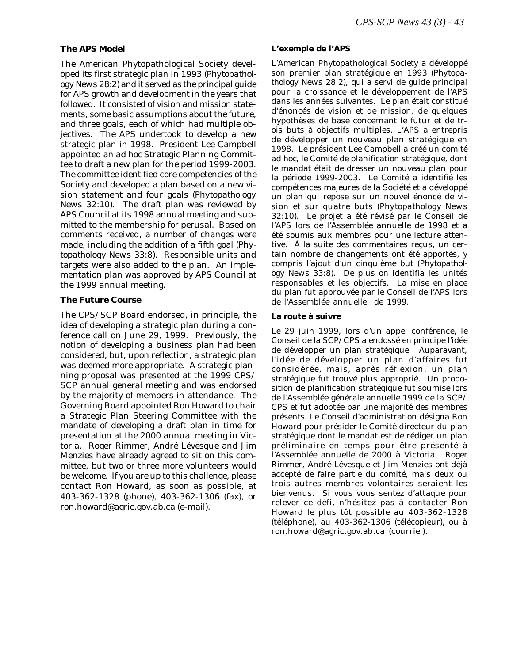### **The APS Model**

The American Phytopathological Society developed its first strategic plan in 1993 (*Phytopathology News* 28:2) and it served as the principal guide for APS growth and development in the years that followed. It consisted of vision and mission statements, some basic assumptions about the future, and three goals, each of which had multiple objectives. The APS undertook to develop a new strategic plan in 1998. President Lee Campbell appointed an *ad hoc* Strategic Planning Committee to draft a new plan for the period 1999-2003. The committee identified core competencies of the Society and developed a plan based on a new vision statement and four goals (*Phytopathology News* 32:10). The draft plan was reviewed by APS Council at its 1998 annual meeting and submitted to the membership for perusal. Based on comments received, a number of changes were made, including the addition of a fifth goal (*Phytopathology News* 33:8). Responsible units and targets were also added to the plan. An implementation plan was approved by APS Council at the 1999 annual meeting.

#### **The Future Course**

The CPS/SCP Board endorsed, in principle, the idea of developing a strategic plan during a conference call on June 29, 1999. Previously, the notion of developing a business plan had been considered, but, upon reflection, a strategic plan was deemed more appropriate. A strategic planning proposal was presented at the 1999 CPS/ SCP annual general meeting and was endorsed by the majority of members in attendance. The Governing Board appointed Ron Howard to chair a Strategic Plan Steering Committee with the mandate of developing a draft plan in time for presentation at the 2000 annual meeting in Victoria. Roger Rimmer, André Lévesque and Jim Menzies have already agreed to sit on this committee, but two or three more volunteers would be welcome. If you are up to this challenge, please contact Ron Howard, as soon as possible, at 403-362-1328 (phone), 403-362-1306 (fax), or ron.howard@agric.gov.ab.ca (e-mail).

#### **L'exemple de l'APS**

L'American Phytopathological Society a développé son premier plan stratégique en 1993 (*Phytopathology News* 28:2), qui a servi de guide principal pour la croissance et le développement de l'APS dans les années suivantes. Le plan était constitué d'énoncés de vision et de mission, de quelques hypothèses de base concernant le futur et de trois buts à objectifs multiples. L'APS a entrepris de développer un nouveau plan stratégique en 1998. Le président Lee Campbell a créé un comité *ad hoc*, le Comité de planification stratégique, dont le mandat était de dresser un nouveau plan pour la période 1999-2003. Le Comité a identifié les compétences majeures de la Société et a développé un plan qui repose sur un nouvel énoncé de vision et sur quatre buts (*Phytopathology News* 32:10). Le projet a été révisé par le Conseil de l'APS lors de l'Assemblée annuelle de 1998 et a été soumis aux membres pour une lecture attentive. À la suite des commentaires reçus, un certain nombre de changements ont été apportés, y compris l'ajout d'un cinquième but (*Phytopathology News* 33:8). De plus on identifia les unités responsables et les objectifs. La mise en place du plan fut approuvée par le Conseil de l'APS lors de l'Assemblée annuelle de 1999.

#### **La route à suivre**

Le 29 juin 1999, lors d'un appel conférence, le Conseil de la SCP/CPS a endossé en principe l'idée de développer un plan stratégique. Auparavant, l'idée de développer un plan d'affaires fut considérée, mais, après réflexion, un plan stratégique fut trouvé plus approprié. Un proposition de planification stratégique fut soumise lors de l'Assemblée générale annuelle 1999 de la SCP/ CPS et fut adoptée par une majorité des membres présents. Le Conseil d'administration désigna Ron Howard pour présider le Comité directeur du plan stratégique dont le mandat est de rédiger un plan préliminaire en temps pour être présenté à l'Assemblée annuelle de 2000 à Victoria. Roger Rimmer, André Lévesque et Jim Menzies ont déjà accepté de faire partie du comité, mais deux ou trois autres membres volontaires seraient les bienvenus. Si vous vous sentez d'attaque pour relever ce défi, n'hésitez pas à contacter Ron Howard le plus tôt possible au 403-362-1328 (téléphone), au 403-362-1306 (télécopieur), ou à ron.howard@agric.gov.ab.ca (courriel).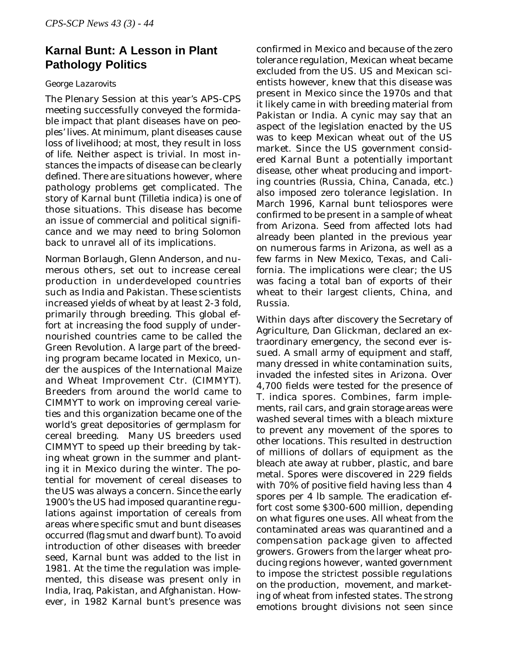# **Karnal Bunt: A Lesson in Plant Pathology Politics**

# *George Lazarovits*

The Plenary Session at this year's APS-CPS meeting successfully conveyed the formidable impact that plant diseases have on peoples' lives. At minimum, plant diseases cause loss of livelihood; at most, they result in loss of life. Neither aspect is trivial. In most instances the impacts of disease can be clearly defined. There are situations however, where pathology problems get complicated. The story of Karnal bunt (*Tilletia indica*) is one of those situations. This disease has become an issue of commercial and political significance and we may need to bring Solomon back to unravel all of its implications.

Norman Borlaugh, Glenn Anderson, and numerous others, set out to increase cereal production in underdeveloped countries such as India and Pakistan. These scientists increased yields of wheat by at least 2-3 fold, primarily through breeding. This global effort at increasing the food supply of undernourished countries came to be called the Green Revolution. A large part of the breeding program became located in Mexico, under the auspices of the International Maize and Wheat Improvement Ctr. (CIMMYT). Breeders from around the world came to CIMMYT to work on improving cereal varieties and this organization became one of the world's great depositories of germplasm for cereal breeding. Many US breeders used CIMMYT to speed up their breeding by taking wheat grown in the summer and planting it in Mexico during the winter. The potential for movement of cereal diseases to the US was always a concern. Since the early 1900's the US had imposed quarantine regulations against importation of cereals from areas where specific smut and bunt diseases occurred (flag smut and dwarf bunt). To avoid introduction of other diseases with breeder seed, Karnal bunt was added to the list in 1981. At the time the regulation was implemented, this disease was present only in India, Iraq, Pakistan, and Afghanistan. However, in 1982 Karnal bunt's presence was

confirmed in Mexico and because of the zero tolerance regulation, Mexican wheat became excluded from the US. US and Mexican scientists however, knew that this disease was present in Mexico since the 1970s and that it likely came in with breeding material from Pakistan or India. A cynic may say that an aspect of the legislation enacted by the US was to keep Mexican wheat out of the US market. Since the US government considered Karnal Bunt a potentially important disease, other wheat producing and importing countries (Russia, China, Canada, etc.) also imposed zero tolerance legislation. In March 1996, Karnal bunt teliospores were confirmed to be present in a sample of wheat from Arizona. Seed from affected lots had already been planted in the previous year on numerous farms in Arizona, as well as a few farms in New Mexico, Texas, and California. The implications were clear; the US was facing a total ban of exports of their wheat to their largest clients, China, and Russia.

Within days after discovery the Secretary of Agriculture, Dan Glickman, declared an extraordinary emergency, the second ever issued. A small army of equipment and staff, many dressed in white contamination suits, invaded the infested sites in Arizona. Over 4,700 fields were tested for the presence of *T. indica* spores. Combines, farm implements, rail cars, and grain storage areas were washed several times with a bleach mixture to prevent any movement of the spores to other locations. This resulted in destruction of millions of dollars of equipment as the bleach ate away at rubber, plastic, and bare metal. Spores were discovered in 229 fields with 70% of positive field having less than 4 spores per 4 lb sample. The eradication effort cost some \$300-600 million, depending on what figures one uses. All wheat from the contaminated areas was quarantined and a compensation package given to affected growers. Growers from the larger wheat producing regions however, wanted government to impose the strictest possible regulations on the production, movement, and marketing of wheat from infested states. The strong emotions brought divisions not seen since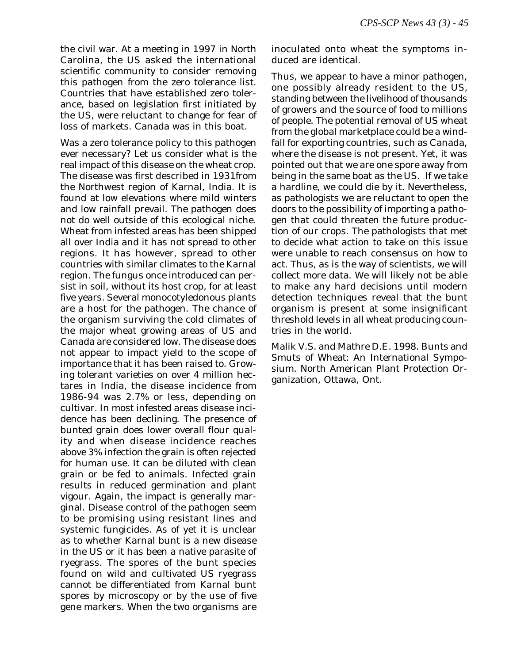the civil war. At a meeting in 1997 in North Carolina, the US asked the international scientific community to consider removing this pathogen from the zero tolerance list. Countries that have established zero tolerance, based on legislation first initiated by the US, were reluctant to change for fear of loss of markets. Canada was in this boat.

Was a zero tolerance policy to this pathogen ever necessary? Let us consider what is the real impact of this disease on the wheat crop. The disease was first described in 1931from the Northwest region of Karnal, India. It is found at low elevations where mild winters and low rainfall prevail. The pathogen does not do well outside of this ecological niche. Wheat from infested areas has been shipped all over India and it has not spread to other regions. It has however, spread to other countries with similar climates to the Karnal region. The fungus once introduced can persist in soil, without its host crop, for at least five years. Several monocotyledonous plants are a host for the pathogen. The chance of the organism surviving the cold climates of the major wheat growing areas of US and Canada are considered low. The disease does not appear to impact yield to the scope of importance that it has been raised to. Growing tolerant varieties on over 4 million hectares in India, the disease incidence from 1986-94 was 2.7% or less, depending on cultivar. In most infested areas disease incidence has been declining. The presence of bunted grain does lower overall flour quality and when disease incidence reaches above 3% infection the grain is often rejected for human use. It can be diluted with clean grain or be fed to animals. Infected grain results in reduced germination and plant vigour. Again, the impact is generally marginal. Disease control of the pathogen seem to be promising using resistant lines and systemic fungicides. As of yet it is unclear as to whether Karnal bunt is a new disease in the US or it has been a native parasite of ryegrass. The spores of the bunt species found on wild and cultivated US ryegrass cannot be differentiated from Karnal bunt spores by microscopy or by the use of five gene markers. When the two organisms are

inoculated onto wheat the symptoms induced are identical.

Thus, we appear to have a minor pathogen, one possibly already resident to the US, standing between the livelihood of thousands of growers and the source of food to millions of people. The potential removal of US wheat from the global marketplace could be a windfall for exporting countries, such as Canada, where the disease is not present. Yet, it was pointed out that we are one spore away from being in the same boat as the US. If we take a hardline, we could die by it. Nevertheless, as pathologists we are reluctant to open the doors to the possibility of importing a pathogen that could threaten the future production of our crops. The pathologists that met to decide what action to take on this issue were unable to reach consensus on how to act. Thus, as is the way of scientists, we will collect more data. We will likely not be able to make any hard decisions until modern detection techniques reveal that the bunt organism is present at some insignificant threshold levels in all wheat producing countries in the world.

Malik V.S. and Mathre D.E. 1998. Bunts and Smuts of Wheat: An International Symposium. North American Plant Protection Organization, Ottawa, Ont.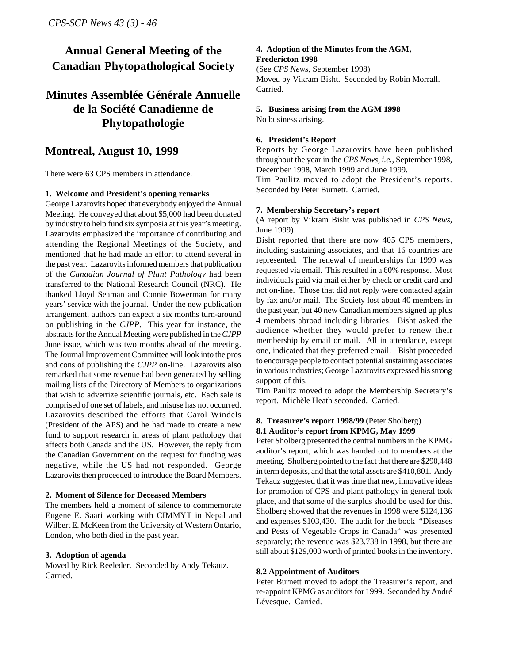# **Annual General Meeting of the Canadian Phytopathological Society**

# **Minutes Assemblée Générale Annuelle de la Société Canadienne de Phytopathologie**

# **Montreal, August 10, 1999**

There were 63 CPS members in attendance.

#### **1. Welcome and President's opening remarks**

George Lazarovits hoped that everybody enjoyed the Annual Meeting. He conveyed that about \$5,000 had been donated by industry to help fund six symposia at this year's meeting. Lazarovits emphasized the importance of contributing and attending the Regional Meetings of the Society, and mentioned that he had made an effort to attend several in the past year. Lazarovits informed members that publication of the *Canadian Journal of Plant Pathology* had been transferred to the National Research Council (NRC). He thanked Lloyd Seaman and Connie Bowerman for many years' service with the journal. Under the new publication arrangement, authors can expect a six months turn-around on publishing in the *CJPP*. This year for instance, the abstracts for the Annual Meeting were published in the *CJPP* June issue, which was two months ahead of the meeting. The Journal Improvement Committee will look into the pros and cons of publishing the *CJPP* on-line. Lazarovits also remarked that some revenue had been generated by selling mailing lists of the Directory of Members to organizations that wish to advertize scientific journals, etc. Each sale is comprised of one set of labels, and misuse has not occurred. Lazarovits described the efforts that Carol Windels (President of the APS) and he had made to create a new fund to support research in areas of plant pathology that affects both Canada and the US. However, the reply from the Canadian Government on the request for funding was negative, while the US had not responded. George Lazarovits then proceeded to introduce the Board Members.

#### **2. Moment of Silence for Deceased Members**

The members held a moment of silence to commemorate Eugene E. Saari working with CIMMYT in Nepal and Wilbert E. McKeen from the University of Western Ontario, London, who both died in the past year.

#### **3. Adoption of agenda**

Moved by Rick Reeleder. Seconded by Andy Tekauz. Carried.

#### **4. Adoption of the Minutes from the AGM, Fredericton 1998**

(See *CPS News*, September 1998) Moved by Vikram Bisht. Seconded by Robin Morrall. Carried.

# **5. Business arising from the AGM 1998**

No business arising.

#### **6. President's Report**

Reports by George Lazarovits have been published throughout the year in the *CPS News, i.e.*, September 1998, December 1998, March 1999 and June 1999.

Tim Paulitz moved to adopt the President's reports. Seconded by Peter Burnett. Carried.

#### **7. Membership Secretary's report**

(A report by Vikram Bisht was published in *CPS News*, June 1999)

Bisht reported that there are now 405 CPS members, including sustaining associates, and that 16 countries are represented. The renewal of memberships for 1999 was requested via email. This resulted in a 60% response. Most individuals paid via mail either by check or credit card and not on-line. Those that did not reply were contacted again by fax and/or mail. The Society lost about 40 members in the past year, but 40 new Canadian members signed up plus 4 members abroad including libraries. Bisht asked the audience whether they would prefer to renew their membership by email or mail. All in attendance, except one, indicated that they preferred email. Bisht proceeded to encourage people to contact potential sustaining associates in various industries; George Lazarovits expressed his strong support of this.

Tim Paulitz moved to adopt the Membership Secretary's report. Michèle Heath seconded. Carried.

#### **8. Treasurer's report 1998/99** (Peter Sholberg) **8.1 Auditor's report from KPMG, May 1999**

Peter Sholberg presented the central numbers in the KPMG auditor's report, which was handed out to members at the meeting. Sholberg pointed to the fact that there are \$290,448 in term deposits, and that the total assets are \$410,801. Andy Tekauz suggested that it was time that new, innovative ideas for promotion of CPS and plant pathology in general took place, and that some of the surplus should be used for this. Sholberg showed that the revenues in 1998 were \$124,136 and expenses \$103,430. The audit for the book "Diseases and Pests of Vegetable Crops in Canada" was presented separately; the revenue was \$23,738 in 1998, but there are still about \$129,000 worth of printed books in the inventory.

#### **8.2 Appointment of Auditors**

Peter Burnett moved to adopt the Treasurer's report, and re-appoint KPMG as auditors for 1999. Seconded by André Lévesque. Carried.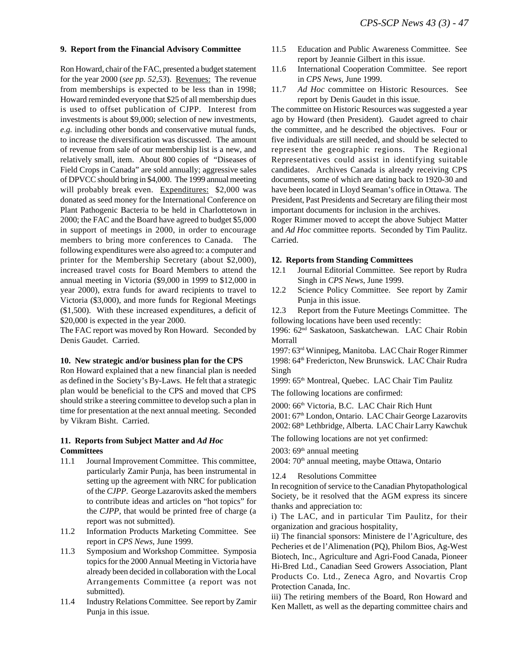#### **9. Report from the Financial Advisory Committee**

Ron Howard, chair of the FAC, presented a budget statement for the year 2000 (*see pp. 52,53*). Revenues: The revenue from memberships is expected to be less than in 1998; Howard reminded everyone that \$25 of all membership dues is used to offset publication of CJPP. Interest from investments is about \$9,000; selection of new investments, *e.g.* including other bonds and conservative mutual funds, to increase the diversification was discussed. The amount of revenue from sale of our membership list is a new, and relatively small, item. About 800 copies of "Diseases of Field Crops in Canada" are sold annually; aggressive sales of DPVCC should bring in \$4,000. The 1999 annual meeting will probably break even. Expenditures: \$2,000 was donated as seed money for the International Conference on Plant Pathogenic Bacteria to be held in Charlottetown in 2000; the FAC and the Board have agreed to budget \$5,000 in support of meetings in 2000, in order to encourage members to bring more conferences to Canada. The following expenditures were also agreed to: a computer and printer for the Membership Secretary (about \$2,000), increased travel costs for Board Members to attend the annual meeting in Victoria (\$9,000 in 1999 to \$12,000 in year 2000), extra funds for award recipients to travel to Victoria (\$3,000), and more funds for Regional Meetings (\$1,500). With these increased expenditures, a deficit of \$20,000 is expected in the year 2000.

The FAC report was moved by Ron Howard. Seconded by Denis Gaudet. Carried.

#### **10. New strategic and/or business plan for the CPS**

Ron Howard explained that a new financial plan is needed as defined in the Society's By-Laws. He felt that a strategic plan would be beneficial to the CPS and moved that CPS should strike a steering committee to develop such a plan in time for presentation at the next annual meeting. Seconded by Vikram Bisht. Carried.

#### **11. Reports from Subject Matter and** *Ad Hoc* **Committees**

- 11.1 Journal Improvement Committee. This committee, particularly Zamir Punja, has been instrumental in setting up the agreement with NRC for publication of the *CJPP*. George Lazarovits asked the members to contribute ideas and articles on "hot topics" for the *CJPP*, that would be printed free of charge (a report was not submitted).
- 11.2 Information Products Marketing Committee. See report in *CPS News*, June 1999.
- 11.3 Symposium and Workshop Committee. Symposia topics for the 2000 Annual Meeting in Victoria have already been decided in collaboration with the Local Arrangements Committee (a report was not submitted).
- 11.4 Industry Relations Committee. See report by Zamir Punja in this issue.
- 11.5 Education and Public Awareness Committee. See report by Jeannie Gilbert in this issue.
- 11.6 International Cooperation Committee. See report in *CPS News,* June 1999.
- 11.7 *Ad Hoc* committee on Historic Resources. See report by Denis Gaudet in this issue.

The committee on Historic Resources was suggested a year ago by Howard (then President). Gaudet agreed to chair the committee, and he described the objectives. Four or five individuals are still needed, and should be selected to represent the geographic regions. The Regional Representatives could assist in identifying suitable candidates. Archives Canada is already receiving CPS documents, some of which are dating back to 1920-30 and have been located in Lloyd Seaman's office in Ottawa. The President, Past Presidents and Secretary are filing their most important documents for inclusion in the archives.

Roger Rimmer moved to accept the above Subject Matter and *Ad Hoc* committee reports. Seconded by Tim Paulitz. Carried.

#### **12. Reports from Standing Committees**

- 12.1 Journal Editorial Committee. See report by Rudra Singh in *CPS News*, June 1999.
- 12.2 Science Policy Committee. See report by Zamir Punja in this issue.

12.3 Report from the Future Meetings Committee. The following locations have been used recently:

1996: 62nd Saskatoon, Saskatchewan. LAC Chair Robin Morrall

1997: 63rd Winnipeg, Manitoba. LAC Chair Roger Rimmer 1998: 64<sup>th</sup> Fredericton, New Brunswick. LAC Chair Rudra Singh

1999: 65<sup>th</sup> Montreal, Quebec. LAC Chair Tim Paulitz

The following locations are confirmed:

2000: 66<sup>th</sup> Victoria, B.C. LAC Chair Rich Hunt 2001: 67<sup>th</sup> London, Ontario. LAC Chair George Lazarovits 2002: 68th Lethbridge, Alberta. LAC Chair Larry Kawchuk

The following locations are not yet confirmed:

2003:  $69<sup>th</sup>$  annual meeting

2004: 70<sup>th</sup> annual meeting, maybe Ottawa, Ontario

12.4 Resolutions Committee

In recognition of service to the Canadian Phytopathological Society, be it resolved that the AGM express its sincere thanks and appreciation to:

i) The LAC, and in particular Tim Paulitz, for their organization and gracious hospitality,

ii) The financial sponsors: Ministere de l'Agriculture, des Pecheries et de l'Alimenation (PQ), Philom Bios, Ag-West Biotech, Inc., Agriculture and Agri-Food Canada, Pioneer Hi-Bred Ltd., Canadian Seed Growers Association, Plant Products Co. Ltd., Zeneca Agro, and Novartis Crop Protection Canada, Inc.

iii) The retiring members of the Board, Ron Howard and Ken Mallett, as well as the departing committee chairs and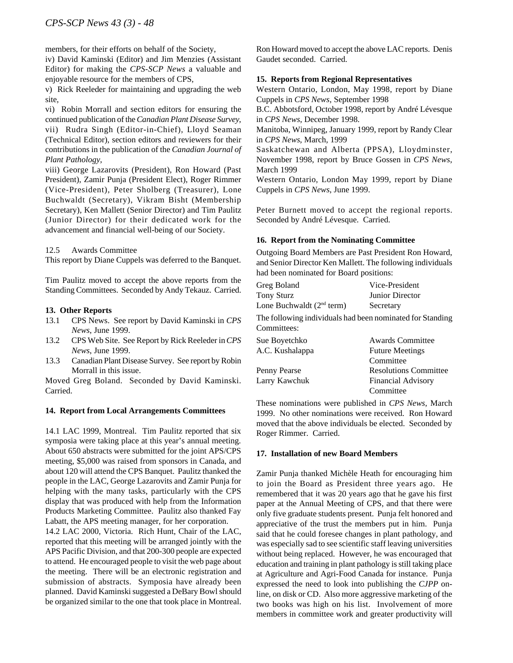members, for their efforts on behalf of the Society,

iv) David Kaminski (Editor) and Jim Menzies (Assistant Editor) for making the *CPS-SCP News* a valuable and enjoyable resource for the members of CPS,

v) Rick Reeleder for maintaining and upgrading the web site,

vi) Robin Morrall and section editors for ensuring the continued publication of the *Canadian Plant Disease Survey*, vii) Rudra Singh (Editor-in-Chief), Lloyd Seaman (Technical Editor), section editors and reviewers for their contributions in the publication of the *Canadian Journal of Plant Pathology*,

viii) George Lazarovits (President), Ron Howard (Past President), Zamir Punja (President Elect), Roger Rimmer (Vice-President), Peter Sholberg (Treasurer), Lone Buchwaldt (Secretary), Vikram Bisht (Membership Secretary), Ken Mallett (Senior Director) and Tim Paulitz (Junior Director) for their dedicated work for the advancement and financial well-being of our Society.

#### 12.5 Awards Committee

This report by Diane Cuppels was deferred to the Banquet.

Tim Paulitz moved to accept the above reports from the Standing Committees. Seconded by Andy Tekauz. Carried.

#### **13. Other Reports**

- 13.1 CPS News. See report by David Kaminski in *CPS News*, June 1999.
- 13.2 CPS Web Site. See Report by Rick Reeleder in *CPS News*, June 1999.
- 13.3 Canadian Plant Disease Survey. See report by Robin Morrall in this issue.

Moved Greg Boland. Seconded by David Kaminski. Carried.

#### **14. Report from Local Arrangements Committees**

14.1 LAC 1999, Montreal. Tim Paulitz reported that six symposia were taking place at this year's annual meeting. About 650 abstracts were submitted for the joint APS/CPS meeting, \$5,000 was raised from sponsors in Canada, and about 120 will attend the CPS Banquet. Paulitz thanked the people in the LAC, George Lazarovits and Zamir Punja for helping with the many tasks, particularly with the CPS display that was produced with help from the Information Products Marketing Committee. Paulitz also thanked Fay Labatt, the APS meeting manager, for her corporation.

14.2 LAC 2000, Victoria. Rich Hunt, Chair of the LAC, reported that this meeting will be arranged jointly with the APS Pacific Division, and that 200-300 people are expected to attend. He encouraged people to visit the web page about the meeting. There will be an electronic registration and submission of abstracts. Symposia have already been planned. David Kaminski suggested a DeBary Bowl should be organized similar to the one that took place in Montreal.

Ron Howard moved to accept the above LAC reports. Denis Gaudet seconded. Carried.

#### **15. Reports from Regional Representatives**

Western Ontario, London, May 1998, report by Diane Cuppels in *CPS News*, September 1998

B.C. Abbotsford, October 1998, report by André Lévesque in *CPS News*, December 1998.

Manitoba, Winnipeg, January 1999, report by Randy Clear in *CPS News*, March, 1999

Saskatchewan and Alberta (PPSA), Lloydminster, November 1998, report by Bruce Gossen in *CPS News*, March 1999

Western Ontario, London May 1999, report by Diane Cuppels in *CPS News*, June 1999.

Peter Burnett moved to accept the regional reports. Seconded by André Lévesque. Carried.

#### **16. Report from the Nominating Committee**

Outgoing Board Members are Past President Ron Howard, and Senior Director Ken Mallett. The following individuals had been nominated for Board positions:

| Greg Boland                                                              | Vice-President               |
|--------------------------------------------------------------------------|------------------------------|
| Tony Sturz                                                               | Junior Director              |
| Lone Buchwaldt (2 <sup>nd</sup> term)                                    | Secretary                    |
| The following individuals had been nominated for Standing<br>Committees: |                              |
| Sue Boyetchko                                                            | <b>Awards Committee</b>      |
| A.C. Kushalappa                                                          | <b>Future Meetings</b>       |
|                                                                          | Committee                    |
| Penny Pearse                                                             | <b>Resolutions Committee</b> |
| Larry Kawchuk                                                            | <b>Financial Advisory</b>    |
|                                                                          | Committee                    |

These nominations were published in *CPS News*, March 1999. No other nominations were received. Ron Howard moved that the above individuals be elected. Seconded by Roger Rimmer. Carried.

#### **17. Installation of new Board Members**

Zamir Punja thanked Michèle Heath for encouraging him to join the Board as President three years ago. He remembered that it was 20 years ago that he gave his first paper at the Annual Meeting of CPS, and that there were only five graduate students present. Punja felt honored and appreciative of the trust the members put in him. Punja said that he could foresee changes in plant pathology, and was especially sad to see scientific staff leaving universities without being replaced. However, he was encouraged that education and training in plant pathology is still taking place at Agriculture and Agri-Food Canada for instance. Punja expressed the need to look into publishing the *CJPP* online, on disk or CD. Also more aggressive marketing of the two books was high on his list. Involvement of more members in committee work and greater productivity will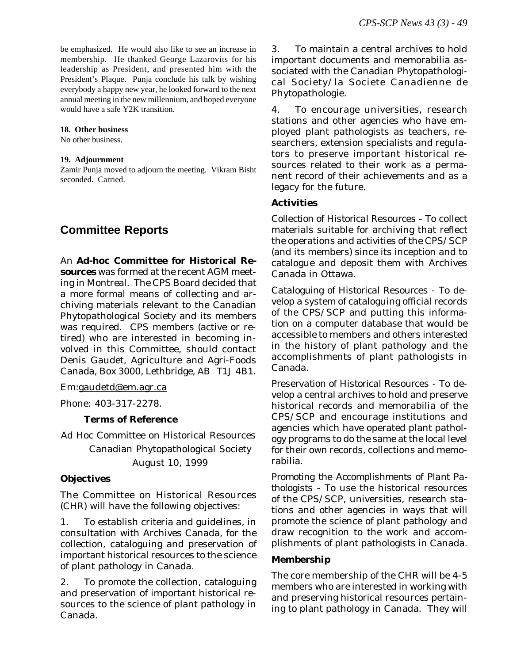be emphasized. He would also like to see an increase in membership. He thanked George Lazarovits for his leadership as President, and presented him with the President's Plaque. Punja conclude his talk by wishing everybody a happy new year, he looked forward to the next annual meeting in the new millennium, and hoped everyone would have a safe Y2K transition.

#### **18. Other business**

No other business.

#### **19. Adjournment**

Zamir Punja moved to adjourn the meeting. Vikram Bisht seconded. Carried.

# **Committee Reports**

An **Ad-hoc Committee for Historical Resources** was formed at the recent AGM meeting in Montreal. The CPS Board decided that a more formal means of collecting and archiving materials relevant to the Canadian Phytopathological Society and its members was required. CPS members (active or retired) who are interested in becoming involved in this Committee, should contact Denis Gaudet, Agriculture and Agri-Foods Canada, Box 3000, Lethbridge, AB T1J 4B1.

Em:gaudetd@em.agr.ca

Phone: 403-317-2278.

# **Terms of Reference**

Ad Hoc Committee on Historical Resources Canadian Phytopathological Society August 10, 1999

# **Objectives**

The Committee on Historical Resources (CHR) will have the following objectives:

1. To establish criteria and guidelines, in consultation with Archives Canada, for the collection, cataloguing and preservation of important historical resources to the science of plant pathology in Canada.

2. To promote the collection, cataloguing and preservation of important historical resources to the science of plant pathology in Canada.

3. To maintain a central archives to hold important documents and memorabilia associated with the Canadian Phytopathological Society/la Societe Canadienne de Phytopathologie.

4. To encourage universities, research stations and other agencies who have employed plant pathologists as teachers, researchers, extension specialists and regulators to preserve important historical resources related to their work as a permanent record of their achievements and as a legacy for the future.

# **Activities**

*Collection of Historical Resources* - To collect materials suitable for archiving that reflect the operations and activities of the CPS/SCP (and its members) since its inception and to catalogue and deposit them with Archives Canada in Ottawa.

*Cataloguing of Historical Resources* - To develop a system of cataloguing official records of the CPS/SCP and putting this information on a computer database that would be accessible to members and others interested in the history of plant pathology and the accomplishments of plant pathologists in Canada.

*Preservation of Historical Resources* - To develop a central archives to hold and preserve historical records and memorabilia of the CPS/SCP and encourage institutions and agencies which have operated plant pathology programs to do the same at the local level for their own records, collections and memorabilia.

*Promoting the Accomplishments of Plant Pathologists* - To use the historical resources of the CPS/SCP, universities, research stations and other agencies in ways that will promote the science of plant pathology and draw recognition to the work and accomplishments of plant pathologists in Canada.

# **Membership**

The core membership of the CHR will be 4-5 members who are interested in working with and preserving historical resources pertaining to plant pathology in Canada. They will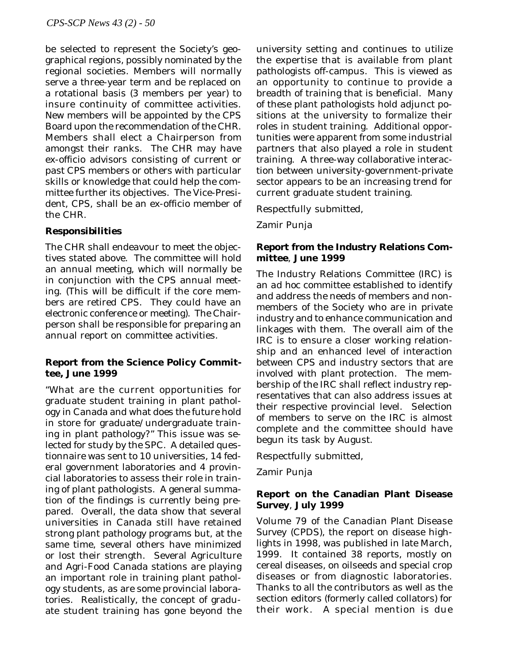be selected to represent the Society's geographical regions, possibly nominated by the regional societies. Members will normally serve a three-year term and be replaced on a rotational basis (3 members per year) to insure continuity of committee activities. New members will be appointed by the CPS Board upon the recommendation of the CHR. Members shall elect a Chairperson from amongst their ranks. The CHR may have ex-officio advisors consisting of current or past CPS members or others with particular skills or knowledge that could help the committee further its objectives. The Vice-President, CPS, shall be an ex-officio member of the CHR.

# **Responsibilities**

The CHR shall endeavour to meet the objectives stated above. The committee will hold an annual meeting, which will normally be in conjunction with the CPS annual meeting. (This will be difficult if the core members are retired CPS. They could have an electronic conference or meeting). The Chairperson shall be responsible for preparing an annual report on committee activities.

# **Report from the Science Policy Committee, June 1999**

"What are the current opportunities for graduate student training in plant pathology in Canada and what does the future hold in store for graduate/undergraduate training in plant pathology?" This issue was selected for study by the SPC. A detailed questionnaire was sent to 10 universities, 14 federal government laboratories and 4 provincial laboratories to assess their role in training of plant pathologists. A general summation of the findings is currently being prepared. Overall, the data show that several universities in Canada still have retained strong plant pathology programs but, at the same time, several others have minimized or lost their strength. Several Agriculture and Agri-Food Canada stations are playing an important role in training plant pathology students, as are some provincial laboratories. Realistically, the concept of graduate student training has gone beyond the university setting and continues to utilize the expertise that is available from plant pathologists off-campus. This is viewed as an opportunity to continue to provide a breadth of training that is beneficial. Many of these plant pathologists hold adjunct positions at the university to formalize their roles in student training. Additional opportunities were apparent from some industrial partners that also played a role in student training. A three-way collaborative interaction between university-government-private sector appears to be an increasing trend for current graduate student training.

Respectfully submitted,

Zamir Punja

# **Report from the Industry Relations Committee**, **June 1999**

The Industry Relations Committee (IRC) is an *ad hoc* committee established to identify and address the needs of members and nonmembers of the Society who are in private industry and to enhance communication and linkages with them. The overall aim of the IRC is to ensure a closer working relationship and an enhanced level of interaction between CPS and industry sectors that are involved with plant protection. The membership of the IRC shall reflect industry representatives that can also address issues at their respective provincial level. Selection of members to serve on the IRC is almost complete and the committee should have begun its task by August.

Respectfully submitted,

Zamir Punja

# **Report on the Canadian Plant Disease Survey**, **July 1999**

Volume 79 of the *Canadian Plant Disease Survey* (CPDS), the report on disease highlights in 1998, was published in late March, 1999. It contained 38 reports, mostly on cereal diseases, on oilseeds and special crop diseases or from diagnostic laboratories. Thanks to all the contributors as well as the section editors (formerly called collators) for their work. A special mention is due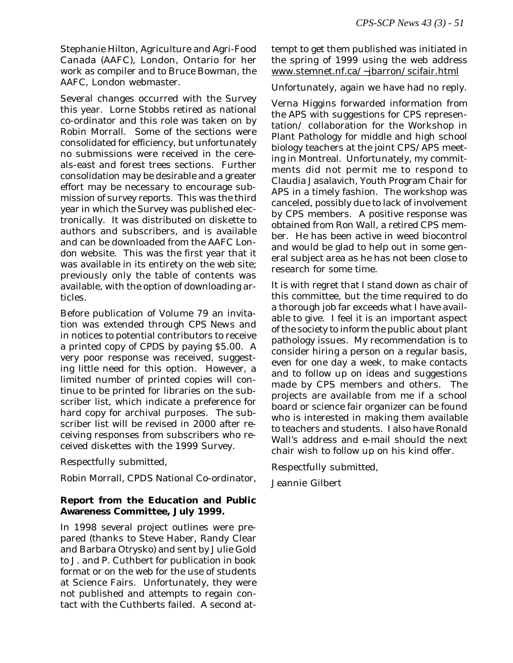Stephanie Hilton, Agriculture and Agri-Food Canada (AAFC), London, Ontario for her work as compiler and to Bruce Bowman, the AAFC, London webmaster.

Several changes occurred with the Survey this year. Lorne Stobbs retired as national co-ordinator and this role was taken on by Robin Morrall. Some of the sections were consolidated for efficiency, but unfortunately no submissions were received in the cereals-east and forest trees sections. Further consolidation may be desirable and a greater effort may be necessary to encourage submission of survey reports. This was the third year in which the Survey was published electronically. It was distributed on diskette to authors and subscribers, and is available and can be downloaded from the AAFC London website. This was the first year that it was available in its entirety on the web site; previously only the table of contents was available, with the option of downloading articles.

Before publication of Volume 79 an invitation was extended through *CPS News* and in notices to potential contributors to receive a printed copy of *CPDS* by paying \$5.00. A very poor response was received, suggesting little need for this option. However, a limited number of printed copies will continue to be printed for libraries on the subscriber list, which indicate a preference for hard copy for archival purposes. The subscriber list will be revised in 2000 after receiving responses from subscribers who received diskettes with the 1999 Survey.

Respectfully submitted,

Robin Morrall, CPDS National Co-ordinator,

# **Report from the Education and Public Awareness Committee, July 1999.**

In 1998 several project outlines were prepared (thanks to Steve Haber, Randy Clear and Barbara Otrysko) and sent by Julie Gold to J. and P. Cuthbert for publication in book format or on the web for the use of students at Science Fairs. Unfortunately, they were not published and attempts to regain contact with the Cuthberts failed. A second attempt to get them published was initiated in the spring of 1999 using the web address www.stemnet.nf.ca/~jbarron/scifair.html

Unfortunately, again we have had no reply.

Verna Higgins forwarded information from the APS with suggestions for CPS representation/ collaboration for the Workshop in Plant Pathology for middle and high school biology teachers at the joint CPS/APS meeting in Montreal. Unfortunately, my commitments did not permit me to respond to Claudia Jasalavich, Youth Program Chair for APS in a timely fashion. The workshop was canceled, possibly due to lack of involvement by CPS members. A positive response was obtained from Ron Wall, a retired CPS member. He has been active in weed biocontrol and would be glad to help out in some general subject area as he has not been close to research for some time.

It is with regret that I stand down as chair of this committee, but the time required to do a thorough job far exceeds what I have available to give. I feel it is an important aspect of the society to inform the public about plant pathology issues. My recommendation is to consider hiring a person on a regular basis, even for one day a week, to make contacts and to follow up on ideas and suggestions made by CPS members and others. The projects are available from me if a school board or science fair organizer can be found who is interested in making them available to teachers and students. I also have Ronald Wall's address and e-mail should the next chair wish to follow up on his kind offer.

Respectfully submitted,

Jeannie Gilbert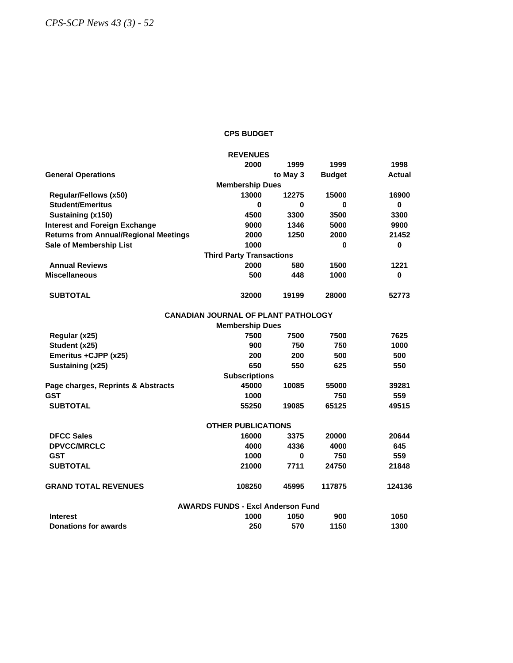### **CPS BUDGET**

|                                              | <b>REVENUES</b>                            |          |               |               |
|----------------------------------------------|--------------------------------------------|----------|---------------|---------------|
|                                              | 2000                                       | 1999     | 1999          | 1998          |
| <b>General Operations</b>                    |                                            | to May 3 | <b>Budget</b> | <b>Actual</b> |
|                                              | <b>Membership Dues</b>                     |          |               |               |
| Regular/Fellows (x50)                        | 13000                                      | 12275    | 15000         | 16900         |
| <b>Student/Emeritus</b>                      | 0                                          | 0        | 0             | 0             |
| Sustaining (x150)                            | 4500                                       | 3300     | 3500          | 3300          |
| <b>Interest and Foreign Exchange</b>         | 9000                                       | 1346     | 5000          | 9900          |
| <b>Returns from Annual/Regional Meetings</b> | 2000                                       | 1250     | 2000          | 21452         |
| Sale of Membership List                      | 1000                                       |          | 0             | 0             |
|                                              | <b>Third Party Transactions</b>            |          |               |               |
| <b>Annual Reviews</b>                        | 2000                                       | 580      | 1500          | 1221          |
| <b>Miscellaneous</b>                         | 500                                        | 448      | 1000          | 0             |
| <b>SUBTOTAL</b>                              | 32000                                      | 19199    | 28000         | 52773         |
|                                              | <b>CANADIAN JOURNAL OF PLANT PATHOLOGY</b> |          |               |               |
|                                              | <b>Membership Dues</b>                     |          |               |               |
| Regular (x25)                                | 7500                                       | 7500     | 7500          | 7625          |
| Student (x25)                                | 900                                        | 750      | 750           | 1000          |
| Emeritus +CJPP (x25)                         | 200                                        | 200      | 500           | 500           |
| Sustaining (x25)                             | 650                                        | 550      | 625           | 550           |
|                                              | <b>Subscriptions</b>                       |          |               |               |
| Page charges, Reprints & Abstracts           | 45000                                      | 10085    | 55000         | 39281         |
| <b>GST</b>                                   | 1000                                       |          | 750           | 559           |
| <b>SUBTOTAL</b>                              | 55250                                      | 19085    | 65125         | 49515         |
|                                              | <b>OTHER PUBLICATIONS</b>                  |          |               |               |
| <b>DFCC Sales</b>                            | 16000                                      | 3375     | 20000         | 20644         |
| <b>DPVCC/MRCLC</b>                           | 4000                                       | 4336     | 4000          | 645           |
| <b>GST</b>                                   | 1000                                       | 0        | 750           | 559           |
| <b>SUBTOTAL</b>                              | 21000                                      | 7711     | 24750         | 21848         |
| <b>GRAND TOTAL REVENUES</b>                  | 108250                                     | 45995    | 117875        | 124136        |
|                                              | <b>AWARDS FUNDS - Excl Anderson Fund</b>   |          |               |               |
| <b>Interest</b>                              | 1000                                       | 1050     | 900           | 1050          |
| Donations for awards                         | 250                                        | 570      | 1150          | 1300          |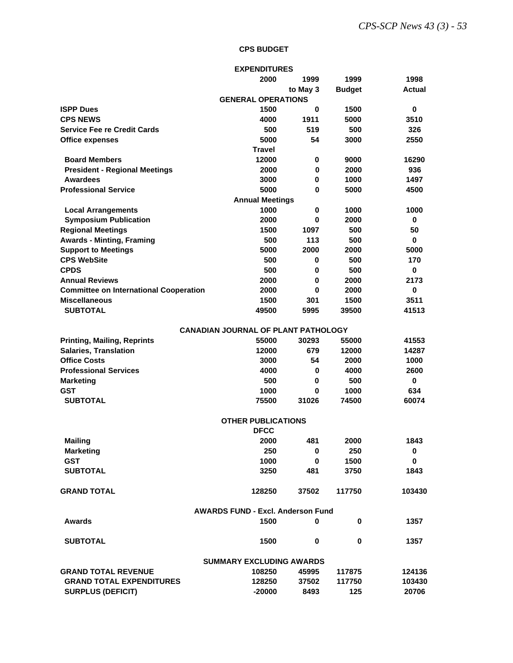### **CPS BUDGET**

|                                               | <b>EXPENDITURES</b>                        |             |               |             |
|-----------------------------------------------|--------------------------------------------|-------------|---------------|-------------|
|                                               | 2000                                       | 1999        | 1999          | 1998        |
|                                               |                                            | to May 3    | <b>Budget</b> | Actual      |
|                                               | <b>GENERAL OPERATIONS</b>                  |             |               |             |
| <b>ISPP Dues</b>                              | 1500                                       | 0           | 1500          | 0           |
| <b>CPS NEWS</b>                               | 4000                                       | 1911        | 5000          | 3510        |
| <b>Service Fee re Credit Cards</b>            | 500                                        | 519         | 500           | 326         |
| <b>Office expenses</b>                        | 5000                                       | 54          | 3000          | 2550        |
|                                               | <b>Travel</b>                              |             |               |             |
| <b>Board Members</b>                          | 12000                                      | 0           | 9000          | 16290       |
| <b>President - Regional Meetings</b>          | 2000                                       | 0           | 2000          | 936         |
| <b>Awardees</b>                               | 3000                                       | 0           | 1000          | 1497        |
| <b>Professional Service</b>                   | 5000                                       | 0           | 5000          | 4500        |
|                                               | <b>Annual Meetings</b>                     |             |               |             |
| <b>Local Arrangements</b>                     | 1000                                       | 0           | 1000          | 1000        |
| <b>Symposium Publication</b>                  | 2000                                       | 0           | 2000          | 0           |
| <b>Regional Meetings</b>                      | 1500                                       | 1097        | 500           | 50          |
| <b>Awards - Minting, Framing</b>              | 500                                        | 113         | 500           | 0           |
| <b>Support to Meetings</b>                    | 5000                                       | 2000        | 2000          | 5000        |
| <b>CPS WebSite</b>                            | 500                                        | 0           | 500           | 170         |
| <b>CPDS</b>                                   | 500                                        | 0           | 500           | 0           |
| <b>Annual Reviews</b>                         | 2000                                       | 0           | 2000          | 2173        |
| <b>Committee on International Cooperation</b> | 2000                                       | 0           | 2000          | 0           |
| <b>Miscellaneous</b>                          | 1500                                       | 301         | 1500          | 3511        |
| <b>SUBTOTAL</b>                               | 49500                                      | 5995        | 39500         | 41513       |
|                                               |                                            |             |               |             |
|                                               | <b>CANADIAN JOURNAL OF PLANT PATHOLOGY</b> |             |               |             |
| <b>Printing, Mailing, Reprints</b>            | 55000                                      | 30293       | 55000         | 41553       |
| <b>Salaries, Translation</b>                  | 12000                                      | 679         | 12000         | 14287       |
| <b>Office Costs</b>                           | 3000                                       | 54          | 2000          | 1000        |
| <b>Professional Services</b>                  | 4000                                       | 0           | 4000          | 2600        |
| <b>Marketing</b>                              | 500                                        | 0           | 500           | $\bf{0}$    |
| GST                                           | 1000                                       | 0           | 1000          | 634         |
| <b>SUBTOTAL</b>                               | 75500                                      | 31026       | 74500         | 60074       |
|                                               |                                            |             |               |             |
|                                               | <b>OTHER PUBLICATIONS</b>                  |             |               |             |
|                                               | <b>DFCC</b>                                |             |               |             |
| <b>Mailing</b>                                | 2000                                       | 481         | 2000          | 1843        |
| <b>Marketing</b>                              | 250                                        | 0           | 250           | 0           |
| <b>GST</b>                                    | 1000                                       | $\mathbf 0$ | 1500          | $\mathbf 0$ |
| <b>SUBTOTAL</b>                               | 3250                                       | 481         | 3750          | 1843        |
|                                               |                                            |             |               |             |
| <b>GRAND TOTAL</b>                            | 128250                                     | 37502       | 117750        | 103430      |
|                                               | <b>AWARDS FUND - Excl. Anderson Fund</b>   |             |               |             |
| <b>Awards</b>                                 | 1500                                       | 0           | 0             | 1357        |
|                                               |                                            |             |               |             |
| <b>SUBTOTAL</b>                               | 1500                                       | 0           | 0             | 1357        |
|                                               |                                            |             |               |             |
|                                               | <b>SUMMARY EXCLUDING AWARDS</b>            |             |               |             |
| <b>GRAND TOTAL REVENUE</b>                    | 108250                                     | 45995       | 117875        | 124136      |
| <b>GRAND TOTAL EXPENDITURES</b>               | 128250                                     | 37502       | 117750        | 103430      |
| <b>SURPLUS (DEFICIT)</b>                      | $-20000$                                   | 8493        | 125           | 20706       |
|                                               |                                            |             |               |             |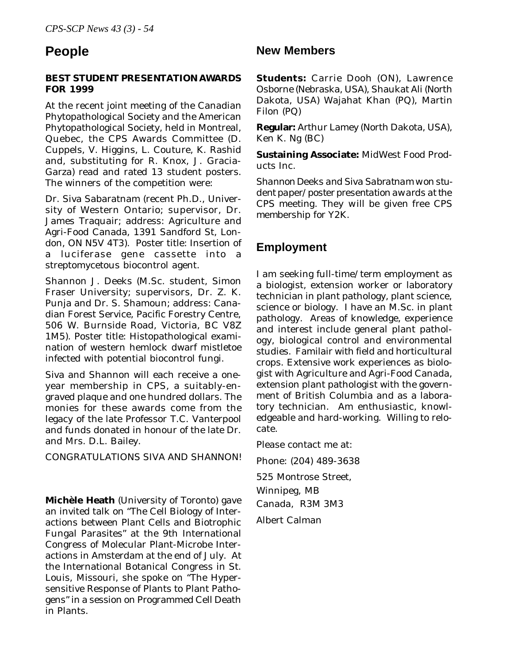# **BEST STUDENT PRESENTATION AWARDS FOR 1999**

At the recent joint meeting of the Canadian Phytopathological Society and the American Phytopathological Society, held in Montreal, Quebec, the CPS Awards Committee (D. Cuppels, V. Higgins, L. Couture, K. Rashid and, substituting for R. Knox, J. Gracia-Garza) read and rated 13 student posters. The winners of the competition were:

Dr. Siva Sabaratnam (recent Ph.D., University of Western Ontario; supervisor, Dr. James Traquair; address: Agriculture and Agri-Food Canada, 1391 Sandford St, London, ON N5V 4T3). Poster title: Insertion of a luciferase gene cassette into a streptomycetous biocontrol agent.

Shannon J. Deeks (M.Sc. student, Simon Fraser University; supervisors, Dr. Z. K. Punja and Dr. S. Shamoun; address: Canadian Forest Service, Pacific Forestry Centre, 506 W. Burnside Road, Victoria, BC V8Z 1M5). Poster title: Histopathological examination of western hemlock dwarf mistletoe infected with potential biocontrol fungi.

Siva and Shannon will each receive a oneyear membership in CPS, a suitably-engraved plaque and one hundred dollars. The monies for these awards come from the legacy of the late Professor T.C. Vanterpool and funds donated in honour of the late Dr. and Mrs. D.L. Bailey.

CONGRATULATIONS SIVA AND SHANNON!

**Michèle Heath** (University of Toronto) gave an invited talk on "The Cell Biology of Interactions between Plant Cells and Biotrophic Fungal Parasites" at the 9th International Congress of Molecular Plant-Microbe Interactions in Amsterdam at the end of July. At the International Botanical Congress in St. Louis, Missouri, she spoke on "The Hypersensitive Response of Plants to Plant Pathogens" in a session on Programmed Cell Death in Plants.

# **People New Members**

**Students:** Carrie Dooh (ON), Lawrence Osborne (Nebraska, USA), Shaukat Ali (North Dakota, USA) Wajahat Khan (PQ), Martin Filon (PQ)

**Regular:** Arthur Lamey (North Dakota, USA), Ken K. Ng (BC)

**Sustaining Associate:** MidWest Food Products Inc.

*Shannon Deeks and Siva Sabratnam won student paper/poster presentation awards at the CPS meeting. They will be given free CPS membership for Y2K.*

# **Employment**

I am seeking full-time/term employment as a biologist, extension worker or laboratory technician in plant pathology, plant science, science or biology. I have an M.Sc. in plant pathology. Areas of knowledge, experience and interest include general plant pathology, biological control and environmental studies. Familair with field and horticultural crops. Extensive work experiences as biologist with Agriculture and Agri-Food Canada, extension plant pathologist with the government of British Columbia and as a laboratory technician. Am enthusiastic, knowledgeable and hard-working. Willing to relocate.

Please contact me at: Phone: (204) 489-3638 525 Montrose Street, Winnipeg, MB Canada, R3M 3M3 Albert Calman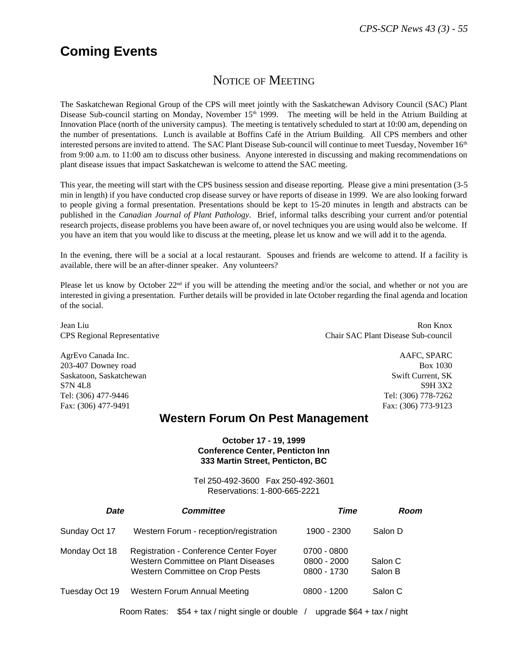# **Coming Events**

# NOTICE OF MEETING

The Saskatchewan Regional Group of the CPS will meet jointly with the Saskatchewan Advisory Council (SAC) Plant Disease Sub-council starting on Monday, November 15<sup>th</sup> 1999. The meeting will be held in the Atrium Building at Innovation Place (north of the university campus). The meeting is tentatively scheduled to start at 10:00 am, depending on the number of presentations. Lunch is available at Boffins Café in the Atrium Building. All CPS members and other interested persons are invited to attend. The SAC Plant Disease Sub-council will continue to meet Tuesday, November 16<sup>th</sup> from 9:00 a.m. to 11:00 am to discuss other business. Anyone interested in discussing and making recommendations on plant disease issues that impact Saskatchewan is welcome to attend the SAC meeting.

This year, the meeting will start with the CPS business session and disease reporting. Please give a mini presentation (3-5 min in length) if you have conducted crop disease survey or have reports of disease in 1999. We are also looking forward to people giving a formal presentation. Presentations should be kept to 15-20 minutes in length and abstracts can be published in the *Canadian Journal of Plant Pathology*. Brief, informal talks describing your current and/or potential research projects, disease problems you have been aware of, or novel techniques you are using would also be welcome. If you have an item that you would like to discuss at the meeting, please let us know and we will add it to the agenda.

In the evening, there will be a social at a local restaurant. Spouses and friends are welcome to attend. If a facility is available, there will be an after-dinner speaker. Any volunteers?

Please let us know by October 22<sup>nd</sup> if you will be attending the meeting and/or the social, and whether or not you are interested in giving a presentation. Further details will be provided in late October regarding the final agenda and location of the social.

AgrEvo Canada Inc. And Social Agreement and Security And Security And Security And Security And Security And Security And Security And Security And Security And Security And Security And Security And Security And Security 203-407 Downey road Box 1030 Saskatoon, Saskatchewan Swift Current, SK STN 4L8 S9H 3X2 Tel: (306) 477-9446 Tel: (306) 778-7262 Fax: (306) 477-9491 Fax: (306) 773-9123

Jean Liu Ron Knox CPS Regional Representative Chair SAC Plant Disease Sub-council

# **Western Forum On Pest Management**

# **October 17 - 19, 1999 Conference Center, Penticton Inn 333 Martin Street, Penticton, BC**

Tel 250-492-3600 Fax 250-492-3601 Reservations: 1-800-665-2221

| <b>Date</b>    | <b>Committee</b>                                                                                                               | Time                                          | Room               |
|----------------|--------------------------------------------------------------------------------------------------------------------------------|-----------------------------------------------|--------------------|
| Sunday Oct 17  | Western Forum - reception/registration                                                                                         | 1900 - 2300                                   | Salon D            |
| Monday Oct 18  | <b>Registration - Conference Center Foyer</b><br><b>Western Committee on Plant Diseases</b><br>Western Committee on Crop Pests | $0700 - 0800$<br>$0800 - 2000$<br>0800 - 1730 | Salon C<br>Salon B |
| Tuesday Oct 19 | <b>Western Forum Annual Meeting</b>                                                                                            | $0800 - 1200$                                 | Salon C            |
|                |                                                                                                                                |                                               |                    |

Room Rates: \$54 + tax / night single or double / upgrade \$64 + tax / night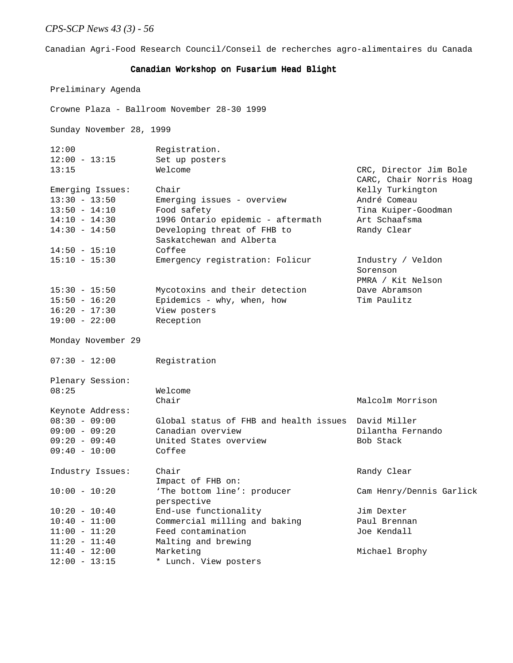Canadian Agri-Food Research Council/Conseil de recherches agro-alimentaires du Canada

#### Canadian Workshop on Fusarium Head Blight

Preliminary Agenda

 Crowne Plaza - Ballroom November 28-30 1999 Sunday November 28, 1999 12:00 Registration. 12:00 - 13:15 Set up posters 13:15 Welcome CRC, Director Jim Bole CARC, Chair Norris Hoag Emerging Issues: Chair Chair Chair Chair Relly Turkington 13:30 - 13:50 Emerging issues - overview André Comeau 13:50 - 14:10 Food safety Tina Kuiper-Goodman 14:10 - 14:30 1996 Ontario epidemic - aftermath Art Schaafsma 14:30 - 14:50 Developing threat of FHB to Randy Clear Saskatchewan and Alberta 14:50 - 15:10 Coffee 15:10 - 15:30 Emergency registration: Folicur Industry / Veldon Sorenson PMRA / Kit Nelson 15:30 - 15:50 Mycotoxins and their detection Dave Abramson 15:50 - 16:20 Epidemics - why, when, how Tim Paulitz 16:20 - 17:30 View posters 19:00 - 22:00 Reception Monday November 29 07:30 - 12:00 Registration Plenary Session: 08:25 Welcome Chair Malcolm Morrison Keynote Address: 08:30 - 09:00 Global status of FHB and health issues David Miller 09:00 - 09:20 Canadian overview Dilantha Fernando 09:20 - 09:40 United States overview Bob Stack 09:40 - 10:00 Coffee Industry Issues: Chair Chair Randy Clear Impact of FHB on: 10:00 - 10:20 'The bottom line': producer Cam Henry/Dennis Garlick perspective 10:20 - 10:40 End-use functionality Jim Dexter 10:40 - 11:00 Commercial milling and baking Paul Brennan 11:00 - 11:20 Feed contamination Joe Kendall 11:20 - 11:40 Malting and brewing 11:40 - 12:00 Marketing Michael Brophy

12:00 - 13:15 \* Lunch. View posters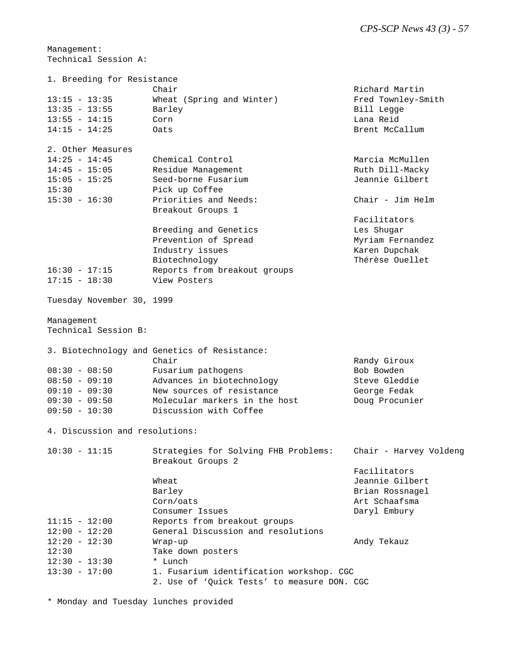Management: Technical Session A:

| 1. Breeding for Resistance         |                                              |                        |
|------------------------------------|----------------------------------------------|------------------------|
|                                    | Chair                                        | Richard Martin         |
| $13:15 - 13:35$                    | Wheat (Spring and Winter)                    | Fred Townley-Smith     |
| $13:35 - 13:55$                    | Barley                                       | Bill Legge             |
| $13:55 - 14:15$                    | Corn                                         | Lana Reid              |
| $14:15 - 14:25$                    | Oats                                         | Brent McCallum         |
| 2. Other Measures                  |                                              |                        |
| $14:25 - 14:45$                    | Chemical Control                             | Marcia McMullen        |
| $14:45 - 15:05$                    | Residue Management                           | Ruth Dill-Macky        |
| $15:05 - 15:25$                    | Seed-borne Fusarium                          | Jeannie Gilbert        |
| 15:30                              | Pick up Coffee                               |                        |
| $15:30 - 16:30$                    | Priorities and Needs:                        | Chair - Jim Helm       |
|                                    | Breakout Groups 1                            |                        |
|                                    |                                              | Facilitators           |
|                                    | Breeding and Genetics                        | Les Shugar             |
|                                    | Prevention of Spread                         | Myriam Fernandez       |
|                                    | Industry issues                              | Karen Dupchak          |
|                                    | Biotechnology                                | Thérèse Ouellet        |
| $16:30 - 17:15$                    | Reports from breakout groups                 |                        |
| $17:15 - 18:30$                    | View Posters                                 |                        |
| Tuesday November 30, 1999          |                                              |                        |
| Management<br>Technical Session B: |                                              |                        |
|                                    |                                              |                        |
|                                    | 3. Biotechnology and Genetics of Resistance: |                        |
|                                    | Chair                                        | Randy Giroux           |
| $08:30 - 08:50$                    | Fusarium pathogens                           | Bob Bowden             |
| $08:50 - 09:10$                    | Advances in biotechnology                    | Steve Gleddie          |
| $09:10 - 09:30$                    | New sources of resistance                    | George Fedak           |
| $09:30 - 09:50$                    | Molecular markers in the host                | Doug Procunier         |
| $09:50 - 10:30$                    | Discussion with Coffee                       |                        |
| 4. Discussion and resolutions:     |                                              |                        |
| $10:30 - 11:15$                    | Strategies for Solving FHB Problems:         | Chair - Harvey Voldeng |
|                                    | Breakout Groups 2                            |                        |
|                                    |                                              | Facilitators           |
|                                    | Wheat                                        | Jeannie Gilbert        |
|                                    | Barley                                       | Brian Rossnagel        |
|                                    | Corn/oats                                    | Art Schaafsma          |
|                                    | Consumer Issues                              | Daryl Embury           |
| $11:15 - 12:00$                    | Reports from breakout groups                 |                        |
| $12:00 - 12:20$                    | General Discussion and resolutions           |                        |
| $12:20 - 12:30$                    | Wrap-up                                      | Andy Tekauz            |
| 12:30                              | Take down posters                            |                        |
| $12:30 - 13:30$                    | * Lunch                                      |                        |
| $13:30 - 17:00$                    | 1. Fusarium identification workshop. CGC     |                        |
|                                    | 2. Use of 'Quick Tests' to measure DON. CGC  |                        |

\* Monday and Tuesday lunches provided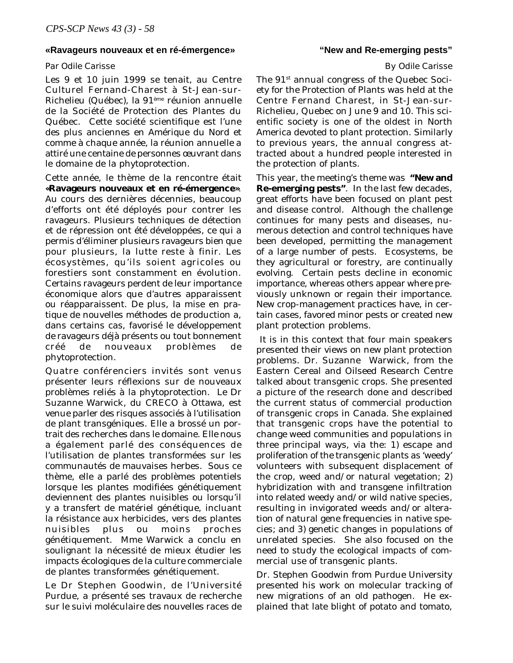### **«Ravageurs nouveaux et en ré-émergence»**

### *Par Odile Carisse*

Les 9 et 10 juin 1999 se tenait, au Centre Culturel Fernand-Charest à St-Jean-sur-Richelieu (Québec), la 91ème réunion annuelle de la Société de Protection des Plantes du Québec. Cette société scientifique est l'une des plus anciennes en Amérique du Nord et comme à chaque année, la réunion annuelle a attiré une centaine de personnes œuvrant dans le domaine de la phytoprotection.

Cette année, le thème de la rencontre était **«Ravageurs nouveaux et en ré-émergence»**. Au cours des dernières décennies, beaucoup d'efforts ont été déployés pour contrer les ravageurs. Plusieurs techniques de détection et de répression ont été développées, ce qui a permis d'éliminer plusieurs ravageurs bien que pour plusieurs, la lutte reste à finir. Les écosystèmes, qu'ils soient agricoles ou forestiers sont constamment en évolution. Certains ravageurs perdent de leur importance économique alors que d'autres apparaissent ou réapparaissent. De plus, la mise en pratique de nouvelles méthodes de production a, dans certains cas, favorisé le développement de ravageurs déjà présents ou tout bonnement créé de nouveaux problèmes de phytoprotection.

Quatre conférenciers invités sont venus présenter leurs réflexions sur de nouveaux problèmes reliés à la phytoprotection. Le Dr Suzanne Warwick, du CRECO à Ottawa, est venue parler des risques associés à l'utilisation de plant transgéniques. Elle a brossé un portrait des recherches dans le domaine. Elle nous a également parlé des conséquences de l'utilisation de plantes transformées sur les communautés de mauvaises herbes. Sous ce thème, elle a parlé des problèmes potentiels lorsque les plantes modifiées génétiquement deviennent des plantes nuisibles ou lorsqu'il y a transfert de matériel génétique, incluant la résistance aux herbicides, vers des plantes nuisibles plus ou moins proches génétiquement. Mme Warwick a conclu en soulignant la nécessité de mieux étudier les impacts écologiques de la culture commerciale de plantes transformées génétiquement.

Le Dr Stephen Goodwin, de l'Université Purdue, a présenté ses travaux de recherche sur le suivi moléculaire des nouvelles races de

# **"New and Re-emerging pests"**

### *By Odile Carisse*

The 91<sup>st</sup> annual congress of the Quebec Society for the Protection of Plants was held at the Centre Fernand Charest, in St-Jean-sur-Richelieu, Quebec on June 9 and 10. This scientific society is one of the oldest in North America devoted to plant protection. Similarly to previous years, the annual congress attracted about a hundred people interested in the protection of plants.

This year, the meeting's theme was **"New and Re-emerging pests"**. In the last few decades, great efforts have been focused on plant pest and disease control. Although the challenge continues for many pests and diseases, numerous detection and control techniques have been developed, permitting the management of a large number of pests. Ecosystems, be they agricultural or forestry, are continually evolving. Certain pests decline in economic importance, whereas others appear where previously unknown or regain their importance. New crop-management practices have, in certain cases, favored minor pests or created new plant protection problems.

 It is in this context that four main speakers presented their views on new plant protection problems. Dr. Suzanne Warwick, from the Eastern Cereal and Oilseed Research Centre talked about transgenic crops. She presented a picture of the research done and described the current status of commercial production of transgenic crops in Canada. She explained that transgenic crops have the potential to change weed communities and populations in three principal ways, via the: 1) escape and proliferation of the transgenic plants as 'weedy' volunteers with subsequent displacement of the crop, weed and/or natural vegetation; 2) hybridization with and transgene infiltration into related weedy and/or wild native species, resulting in invigorated weeds and/or alteration of natural gene frequencies in native species; and 3) genetic changes in populations of unrelated species. She also focused on the need to study the ecological impacts of commercial use of transgenic plants.

Dr. Stephen Goodwin from Purdue University presented his work on molecular tracking of new migrations of an old pathogen. He explained that late blight of potato and tomato,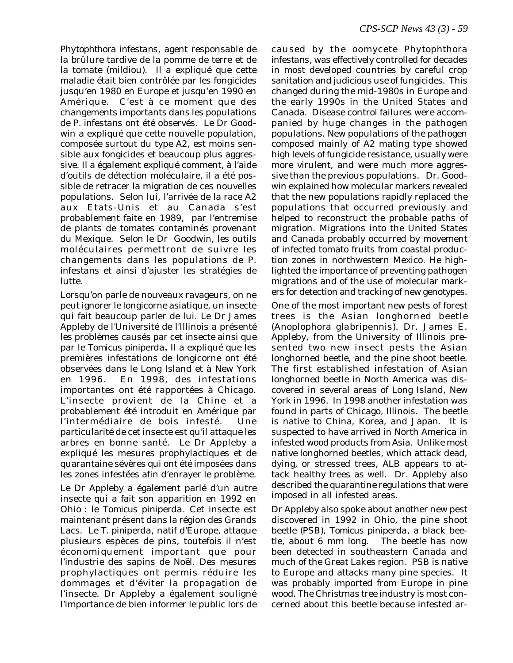*Phytophthora infestans*, agent responsable de la brûlure tardive de la pomme de terre et de la tomate (mildiou)*.* Il a expliqué que cette maladie était bien contrôlée par les fongicides jusqu'en 1980 en Europe et jusqu'en 1990 en Amérique. C'est à ce moment que des changements importants dans les populations de *P. infestans* ont été observés. Le Dr Goodwin a expliqué que cette nouvelle population, composée surtout du type A2, est moins sensible aux fongicides et beaucoup plus aggressive. Il a également expliqué comment, à l'aide d'outils de détection moléculaire, il a été possible de retracer la migration de ces nouvelles populations. Selon lui, l'arrivée de la race A2 aux Etats-Unis et au Canada s'est probablement faite en 1989, par l'entremise de plants de tomates contaminés provenant du Mexique. Selon le Dr Goodwin, les outils moléculaires permettront de suivre les changements dans les populations de *P. infestans* et ainsi d'ajuster les stratégies de lutte.

Lorsqu'on parle de nouveaux ravageurs, on ne peut ignorer le longicorne asiatique, un insecte qui fait beaucoup parler de lui. Le Dr James Appleby de l'Université de l'Illinois a présenté les problèmes causés par cet insecte ainsi que par le *Tomicus piniperda***.** Il a expliqué que les premières infestations de longicorne ont été observées dans le Long Island et à New York en 1996. En 1998, des infestations importantes ont été rapportées à Chicago. L'insecte provient de la Chine et a probablement été introduit en Amérique par l'intermédiaire de bois infesté. Une particularité de cet insecte est qu'il attaque les arbres en bonne santé. Le Dr Appleby a expliqué les mesures prophylactiques et de quarantaine sévères qui ont été imposées dans les zones infestées afin d'enrayer le problème.

Le Dr Appleby a également parlé d'un autre insecte qui a fait son apparition en 1992 en Ohio : le *Tomicus piniperda*. Cet insecte est maintenant présent dans la région des Grands Lacs. Le *T. piniperda*, natif d'Europe, attaque plusieurs espèces de pins, toutefois il n'est économiquement important que pour l'industrie des sapins de Noël. Des mesures prophylactiques ont permis réduire les dommages et d'éviter la propagation de l'insecte. Dr Appleby a également souligné l'importance de bien informer le public lors de

caused by the oomycete *Phytophthora infestans*, was effectively controlled for decades in most developed countries by careful crop sanitation and judicious use of fungicides. This changed during the mid-1980s in Europe and the early 1990s in the United States and Canada. Disease control failures were accompanied by huge changes in the pathogen populations. New populations of the pathogen composed mainly of A2 mating type showed high levels of fungicide resistance, usually were more virulent, and were much more aggressive than the previous populations. Dr. Goodwin explained how molecular markers revealed that the new populations rapidly replaced the populations that occurred previously and helped to reconstruct the probable paths of migration. Migrations into the United States and Canada probably occurred by movement of infected tomato fruits from coastal production zones in northwestern Mexico. He highlighted the importance of preventing pathogen migrations and of the use of molecular markers for detection and tracking of new genotypes.

One of the most important new pests of forest trees is the Asian longhorned beetle (*Anoplophora glabripennis*). Dr. James E. Appleby, from the University of Illinois presented two new insect pests the Asian longhorned beetle, and the pine shoot beetle. The first established infestation of Asian longhorned beetle in North America was discovered in several areas of Long Island, New York in 1996. In 1998 another infestation was found in parts of Chicago, Illinois. The beetle is native to China, Korea, and Japan. It is suspected to have arrived in North America in infested wood products from Asia. Unlike most native longhorned beetles, which attack dead, dying, or stressed trees, ALB appears to attack healthy trees as well. Dr. Appleby also described the quarantine regulations that were imposed in all infested areas.

Dr Appleby also spoke about another new pest discovered in 1992 in Ohio, the pine shoot beetle (PSB), *Tomicus piniperda*, a black beetle, about 6 mm long. The beetle has now been detected in southeastern Canada and much of the Great Lakes region. PSB is native to Europe and attacks many pine species. It was probably imported from Europe in pine wood. The Christmas tree industry is most concerned about this beetle because infested ar-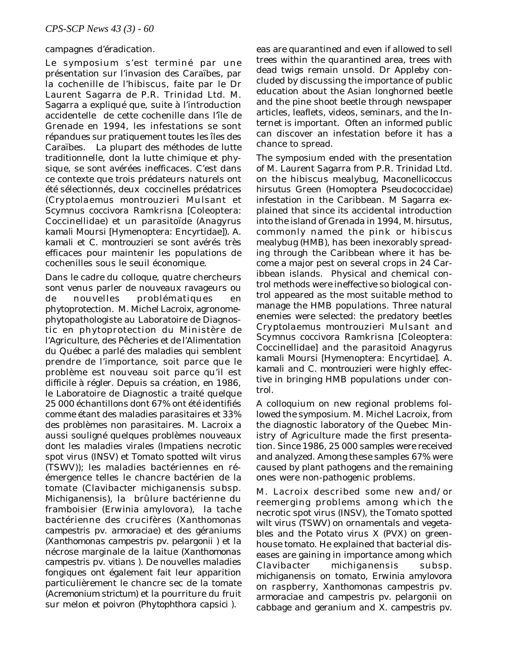### campagnes d'éradication.

Le symposium s'est terminé par une présentation sur l'invasion des Caraïbes, par la cochenille de l'hibiscus, faite par le Dr Laurent Sagarra de P.R. Trinidad Ltd. M. Sagarra a expliqué que, suite à l'introduction accidentelle de cette cochenille dans l'île de Grenade en 1994, les infestations se sont répandues sur pratiquement toutes les îles des Caraïbes. La plupart des méthodes de lutte traditionnelle, dont la lutte chimique et physique, se sont avérées inefficaces. C'est dans ce contexte que trois prédateurs naturels ont été sélectionnés, deux coccinelles prédatrices (*Cryptolaemus montrouzieri* Mulsant et *Scymnus coccivora* Ramkrisna [Coleoptera: Coccinellidae) et un parasitoïde (*Anagyrus kamali* Moursi [Hymenoptera: Encyrtidae]). *A. kamali* et *C. montrouzieri* se sont avérés très efficaces pour maintenir les populations de cochenilles sous le seuil économique.

Dans le cadre du colloque, quatre chercheurs sont venus parler de nouveaux ravageurs ou de nouvelles problématiques en phytoprotection. M. Michel Lacroix, agronomephytopathologiste au Laboratoire de Diagnostic en phytoprotection du Ministère de l'Agriculture, des Pêcheries et de l'Alimentation du Québec a parlé des maladies qui semblent prendre de l'importance, soit parce que le problème est nouveau soit parce qu'il est difficile à régler. Depuis sa création, en 1986, le Laboratoire de Diagnostic a traité quelque 25 000 échantillons dont 67% ont été identifiés comme étant des maladies parasitaires et 33% des problèmes non parasitaires. M. Lacroix a aussi souligné quelques problèmes nouveaux dont les maladies virales (Impatiens necrotic spot virus (INSV) et Tomato spotted wilt virus (TSWV)); les maladies bactériennes en réémergence telles le chancre bactérien de la tomate (*Clavibacter michiganensis* subsp. *Michiganensis*), la brûlure bactérienne du framboisier (*Erwinia amylovora),* la tache bactérienne des crucifères (*Xanthomonas campestris* pv. *armoraciae*) et des géraniums (*Xanthomonas campestris pv. pelargonii* ) et la nécrose marginale de la laitue (*Xanthomonas campestris* pv. *vitians* ). De nouvelles maladies fongiques ont également fait leur apparition particulièrement le chancre sec de la tomate (*Acremonium strictum*) et la pourriture du fruit sur melon et poivron (*Phytophthora capsici* ).

eas are quarantined and even if allowed to sell trees within the quarantined area, trees with dead twigs remain unsold. Dr Appleby concluded by discussing the importance of public education about the Asian longhorned beetle and the pine shoot beetle through newspaper articles, leaflets, videos, seminars, and the Internet is important. Often an informed public can discover an infestation before it has a chance to spread.

The symposium ended with the presentation of M. Laurent Sagarra from P.R. Trinidad Ltd. on the hibiscus mealybug, *Maconellicoccus hirsutus* Green (Homoptera Pseudococcidae) infestation in the Caribbean. M Sagarra explained that since its accidental introduction into the island of Grenada in 1994, *M. hirsutus*, commonly named the pink or hibiscus mealybug (HMB), has been inexorably spreading through the Caribbean where it has become a major pest on several crops in 24 Caribbean islands. Physical and chemical control methods were ineffective so biological control appeared as the most suitable method to manage the HMB populations. Three natural enemies were selected: the predatory beetles *Cryptolaemus montrouzieri* Mulsant and *Scymnus coccivora* Ramkrisna [Coleoptera: Coccinellidae] and the parasitoid *Anagyrus kamali* Moursi [Hymenoptera: Encyrtidae]. *A. kamali* and *C. montrouzieri* were highly effective in bringing HMB populations under control.

A colloquium on new regional problems followed the symposium. M. Michel Lacroix, from the diagnostic laboratory of the Quebec Ministry of Agriculture made the first presentation. Since 1986, 25 000 samples were received and analyzed. Among these samples 67% were caused by plant pathogens and the remaining ones were non-pathogenic problems.

M. Lacroix described some new and/or reemerging problems among which the necrotic spot virus (INSV), the Tomato spotted wilt virus (TSWV) on ornamentals and vegetables and the Potato virus X (PVX) on greenhouse tomato. He explained that bacterial diseases are gaining in importance among which *Clavibacter michiganensis* subsp. *michiganensis* on tomato, *Erwinia amylovora* on raspberry, *Xanthomonas campestris* pv. *armoraciae* and *campestris pv. pelargonii* on cabbage and geranium and *X. campestris* pv.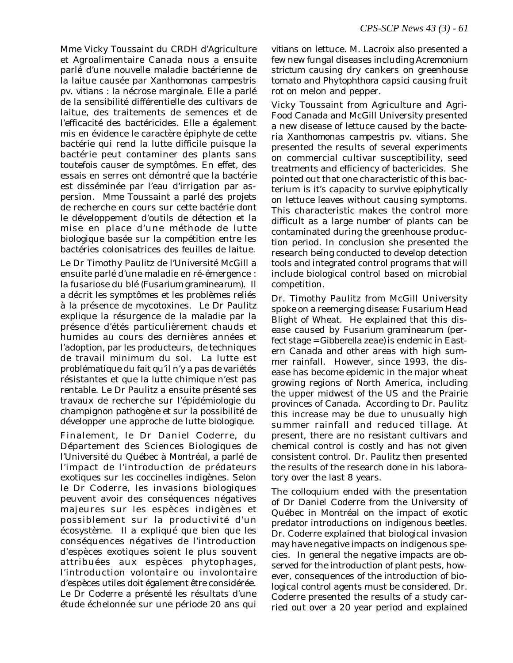Mme Vicky Toussaint du CRDH d'Agriculture et Agroalimentaire Canada nous a ensuite parlé d'une nouvelle maladie bactérienne de la laitue causée par *Xanthomonas campestris* pv. *vitians* : la nécrose marginale. Elle a parlé de la sensibilité différentielle des cultivars de laitue, des traitements de semences et de l'efficacité des bactéricides. Elle a également mis en évidence le caractère épiphyte de cette bactérie qui rend la lutte difficile puisque la bactérie peut contaminer des plants sans toutefois causer de symptômes. En effet, des essais en serres ont démontré que la bactérie est disséminée par l'eau d'irrigation par aspersion. Mme Toussaint a parlé des projets de recherche en cours sur cette bactérie dont le développement d'outils de détection et la mise en place d'une méthode de lutte biologique basée sur la compétition entre les bactéries colonisatrices des feuilles de laitue.

Le Dr Timothy Paulitz de l'Université McGill a ensuite parlé d'une maladie en ré-émergence : la fusariose du blé (*Fusarium graminearum*). Il a décrit les symptômes et les problèmes reliés à la présence de mycotoxines. Le Dr Paulitz explique la résurgence de la maladie par la présence d'étés particulièrement chauds et humides au cours des dernières années et l'adoption, par les producteurs, de techniques de travail minimum du sol. La lutte est problématique du fait qu'il n'y a pas de variétés résistantes et que la lutte chimique n'est pas rentable. Le Dr Paulitz a ensuite présenté ses travaux de recherche sur l'épidémiologie du champignon pathogène et sur la possibilité de développer une approche de lutte biologique.

Finalement, le Dr Daniel Coderre, du Département des Sciences Biologiques de l'Université du Québec à Montréal, a parlé de l'impact de l'introduction de prédateurs exotiques sur les coccinelles indigènes. Selon le Dr Coderre, les invasions biologiques peuvent avoir des conséquences négatives majeures sur les espèces indigènes et possiblement sur la productivité d'un écosystème. Il a expliqué que bien que les conséquences négatives de l'introduction d'espèces exotiques soient le plus souvent attribuées aux espèces phytophages, l'introduction volontaire ou involontaire d'espèces utiles doit également être considérée. Le Dr Coderre a présenté les résultats d'une étude échelonnée sur une période 20 ans qui

*vitians* on lettuce. M. Lacroix also presented a few new fungal diseases including *Acremonium strictum* causing dry cankers on greenhouse tomato and *Phytophthora capsici* causing fruit rot on melon and pepper.

Vicky Toussaint from Agriculture and Agri-Food Canada and McGill University presented a new disease of lettuce caused by the bacteria *Xanthomonas campestris* pv. *vitians*. She presented the results of several experiments on commercial cultivar susceptibility, seed treatments and efficiency of bactericides. She pointed out that one characteristic of this bacterium is it's capacity to survive epiphytically on lettuce leaves without causing symptoms. This characteristic makes the control more difficult as a large number of plants can be contaminated during the greenhouse production period. In conclusion she presented the research being conducted to develop detection tools and integrated control programs that will include biological control based on microbial competition.

Dr. Timothy Paulitz from McGill University spoke on a reemerging disease: Fusarium Head Blight of Wheat. He explained that this disease caused by *Fusarium graminearum* (perfect stage = *Gibberella zeae)* is endemic in Eastern Canada and other areas with high summer rainfall. However, since 1993, the disease has become epidemic in the major wheat growing regions of North America, including the upper midwest of the US and the Prairie provinces of Canada. According to Dr. Paulitz this increase may be due to unusually high summer rainfall and reduced tillage. At present, there are no resistant cultivars and chemical control is costly and has not given consistent control. Dr. Paulitz then presented the results of the research done in his laboratory over the last 8 years.

The colloquium ended with the presentation of Dr Daniel Coderre from the University of Québec in Montréal on the impact of exotic predator introductions on indigenous beetles. Dr. Coderre explained that biological invasion may have negative impacts on indigenous species. In general the negative impacts are observed for the introduction of plant pests, however, consequences of the introduction of biological control agents must be considered. Dr. Coderre presented the results of a study carried out over a 20 year period and explained